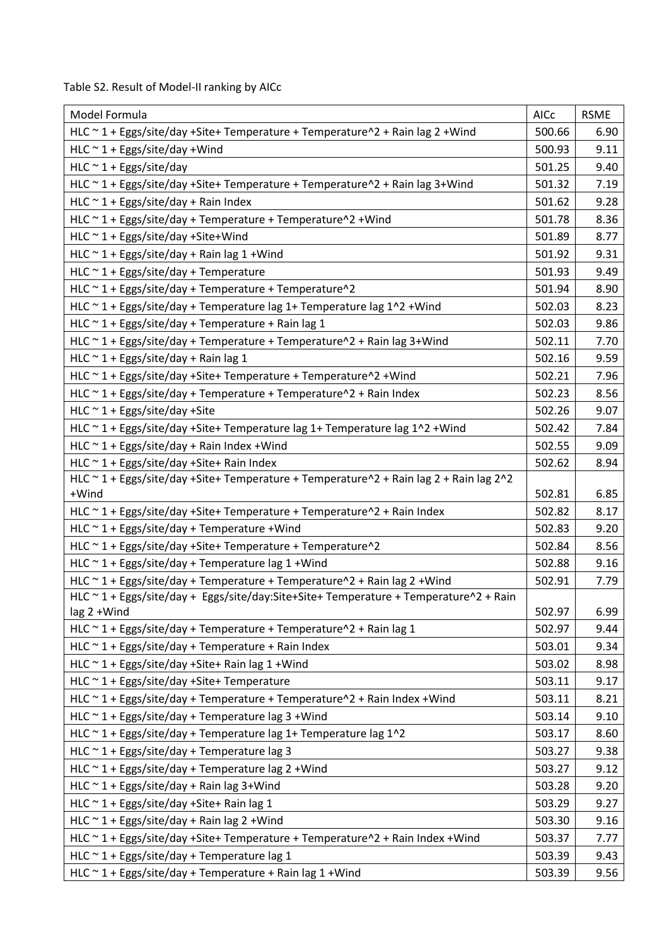Table S2. Result of Model-II ranking by AICc

| Model Formula                                                                                   | AICc   | <b>RSME</b> |
|-------------------------------------------------------------------------------------------------|--------|-------------|
| HLC ~ 1 + Eggs/site/day +Site+ Temperature + Temperature^2 + Rain lag 2 + Wind                  | 500.66 | 6.90        |
| $HLC \sim 1 + Eggs/site/day + Wind$                                                             | 500.93 | 9.11        |
| HLC $\sim$ 1 + Eggs/site/day                                                                    | 501.25 | 9.40        |
| HLC ~ 1 + Eggs/site/day +Site+ Temperature + Temperature^2 + Rain lag 3+Wind                    | 501.32 | 7.19        |
| HLC $\sim$ 1 + Eggs/site/day + Rain Index                                                       | 501.62 | 9.28        |
| HLC ~ 1 + Eggs/site/day + Temperature + Temperature^2 + Wind                                    | 501.78 | 8.36        |
| HLC $\sim$ 1 + Eggs/site/day +Site+Wind                                                         | 501.89 | 8.77        |
| HLC $\sim$ 1 + Eggs/site/day + Rain lag 1 + Wind                                                | 501.92 | 9.31        |
| HLC $\sim$ 1 + Eggs/site/day + Temperature                                                      | 501.93 | 9.49        |
| HLC ~ 1 + Eggs/site/day + Temperature + Temperature^2                                           | 501.94 | 8.90        |
| HLC ~ 1 + Eggs/site/day + Temperature lag 1+ Temperature lag 1^2 + Wind                         | 502.03 | 8.23        |
| HLC $\sim$ 1 + Eggs/site/day + Temperature + Rain lag 1                                         | 502.03 | 9.86        |
| HLC $\sim$ 1 + Eggs/site/day + Temperature + Temperature $\sim$ 2 + Rain lag 3+Wind             | 502.11 | 7.70        |
| HLC $\sim$ 1 + Eggs/site/day + Rain lag 1                                                       | 502.16 | 9.59        |
| HLC ~ 1 + Eggs/site/day +Site+ Temperature + Temperature^2 + Wind                               | 502.21 | 7.96        |
| HLC $\sim$ 1 + Eggs/site/day + Temperature + Temperature $\sim$ 2 + Rain Index                  | 502.23 | 8.56        |
| HLC $\sim$ 1 + Eggs/site/day +Site                                                              | 502.26 | 9.07        |
| HLC ~ 1 + Eggs/site/day +Site+ Temperature lag 1+ Temperature lag 1^2 + Wind                    | 502.42 | 7.84        |
| HLC $\sim$ 1 + Eggs/site/day + Rain Index + Wind                                                | 502.55 | 9.09        |
| HLC ~ 1 + Eggs/site/day +Site+ Rain Index                                                       | 502.62 | 8.94        |
| HLC ~ 1 + Eggs/site/day +Site+ Temperature + Temperature^2 + Rain lag 2 + Rain lag 2^2<br>+Wind | 502.81 | 6.85        |
| HLC ~ 1 + Eggs/site/day +Site+ Temperature + Temperature^2 + Rain Index                         | 502.82 | 8.17        |
| HLC $\sim$ 1 + Eggs/site/day + Temperature + Wind                                               | 502.83 | 9.20        |
| HLC ~ 1 + Eggs/site/day +Site+ Temperature + Temperature^2                                      | 502.84 | 8.56        |
| HLC $\sim$ 1 + Eggs/site/day + Temperature lag 1 + Wind                                         | 502.88 | 9.16        |
| HLC ~ 1 + Eggs/site/day + Temperature + Temperature^2 + Rain lag 2 + Wind                       | 502.91 | 7.79        |
| HLC ~ 1 + Eggs/site/day + Eggs/site/day:Site+Site+ Temperature + Temperature^2 + Rain           |        |             |
| lag 2 +Wind                                                                                     | 502.97 | 6.99        |
| HLC $\sim$ 1 + Eggs/site/day + Temperature + Temperature $\sim$ 2 + Rain lag 1                  | 502.97 | 9.44        |
| HLC $\sim$ 1 + Eggs/site/day + Temperature + Rain Index                                         | 503.01 | 9.34        |
| HLC ~ 1 + Eggs/site/day +Site+ Rain lag 1 + Wind                                                | 503.02 | 8.98        |
| HLC ~ 1 + Eggs/site/day +Site+ Temperature                                                      | 503.11 | 9.17        |
| HLC ~ 1 + Eggs/site/day + Temperature + Temperature^2 + Rain Index + Wind                       | 503.11 | 8.21        |
| HLC $\sim$ 1 + Eggs/site/day + Temperature lag 3 + Wind                                         | 503.14 | 9.10        |
| HLC ~ 1 + Eggs/site/day + Temperature lag 1+ Temperature lag 1^2                                | 503.17 | 8.60        |
| HLC $\sim$ 1 + Eggs/site/day + Temperature lag 3                                                | 503.27 | 9.38        |
| HLC $\sim$ 1 + Eggs/site/day + Temperature lag 2 + Wind                                         | 503.27 | 9.12        |
| HLC $\sim$ 1 + Eggs/site/day + Rain lag 3+Wind                                                  | 503.28 | 9.20        |
| HLC $\sim$ 1 + Eggs/site/day +Site+ Rain lag 1                                                  | 503.29 | 9.27        |
| HLC $\sim$ 1 + Eggs/site/day + Rain lag 2 + Wind                                                | 503.30 | 9.16        |
| HLC ~ 1 + Eggs/site/day +Site+ Temperature + Temperature^2 + Rain Index + Wind                  | 503.37 | 7.77        |
| HLC $\sim$ 1 + Eggs/site/day + Temperature lag 1                                                | 503.39 | 9.43        |
| HLC ~ 1 + Eggs/site/day + Temperature + Rain lag 1 + Wind                                       | 503.39 | 9.56        |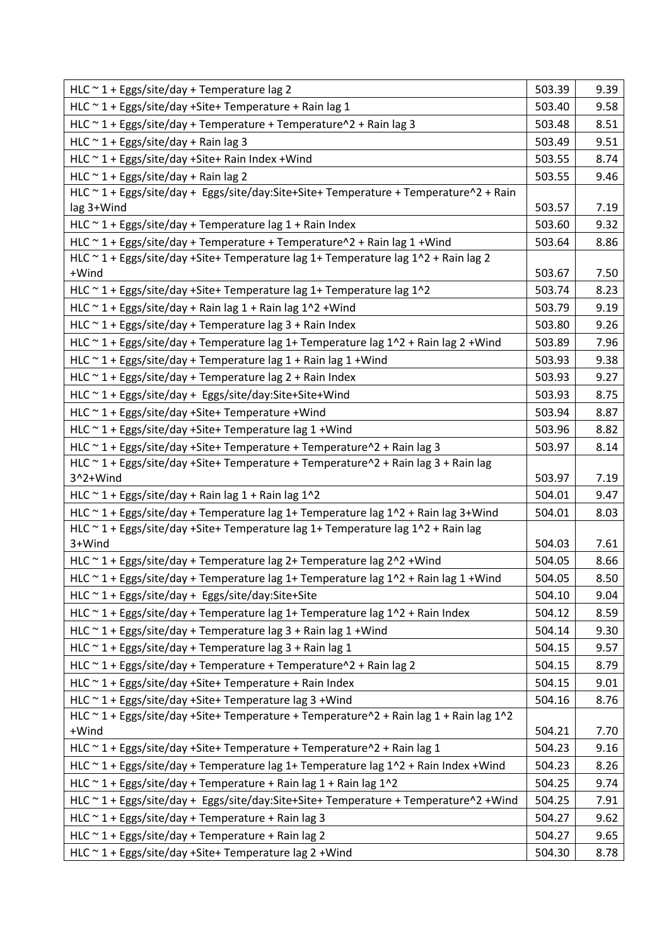| HLC $\sim$ 1 + Eggs/site/day + Temperature lag 2                                                 | 503.39 | 9.39 |
|--------------------------------------------------------------------------------------------------|--------|------|
| HLC ~ 1 + Eggs/site/day +Site+ Temperature + Rain lag 1                                          | 503.40 | 9.58 |
| HLC $\sim$ 1 + Eggs/site/day + Temperature + Temperature $\sim$ 2 + Rain lag 3                   | 503.48 | 8.51 |
| HLC $\sim$ 1 + Eggs/site/day + Rain lag 3                                                        | 503.49 | 9.51 |
| HLC ~ 1 + Eggs/site/day +Site+ Rain Index + Wind                                                 | 503.55 | 8.74 |
| HLC $\sim$ 1 + Eggs/site/day + Rain lag 2                                                        | 503.55 | 9.46 |
| HLC ~ 1 + Eggs/site/day + Eggs/site/day:Site+Site+ Temperature + Temperature^2 + Rain            |        |      |
| lag 3+Wind                                                                                       | 503.57 | 7.19 |
| HLC $\sim$ 1 + Eggs/site/day + Temperature lag 1 + Rain Index                                    | 503.60 | 9.32 |
| HLC $\sim$ 1 + Eggs/site/day + Temperature + Temperature $\sim$ 2 + Rain lag 1 + Wind            | 503.64 | 8.86 |
| HLC ~ 1 + Eggs/site/day +Site+ Temperature lag 1+ Temperature lag 1^2 + Rain lag 2               |        |      |
| +Wind                                                                                            | 503.67 | 7.50 |
| HLC ~ 1 + Eggs/site/day + Site + Temperature lag 1 + Temperature lag 1^2                         | 503.74 | 8.23 |
| HLC ~ 1 + Eggs/site/day + Rain lag 1 + Rain lag 1^2 + Wind                                       | 503.79 | 9.19 |
| HLC $\sim$ 1 + Eggs/site/day + Temperature lag 3 + Rain Index                                    | 503.80 | 9.26 |
| HLC ~ 1 + Eggs/site/day + Temperature lag 1+ Temperature lag 1^2 + Rain lag 2 + Wind             | 503.89 | 7.96 |
| HLC ~ 1 + Eggs/site/day + Temperature lag 1 + Rain lag 1 + Wind                                  | 503.93 | 9.38 |
| HLC $\sim$ 1 + Eggs/site/day + Temperature lag 2 + Rain Index                                    | 503.93 | 9.27 |
| HLC ~ 1 + Eggs/site/day + Eggs/site/day:Site+Site+Wind                                           | 503.93 | 8.75 |
| HLC ~ 1 + Eggs/site/day +Site+ Temperature +Wind                                                 | 503.94 | 8.87 |
| HLC ~ 1 + Eggs/site/day +Site+ Temperature lag 1 +Wind                                           | 503.96 | 8.82 |
| HLC ~ 1 + Eggs/site/day + Site + Temperature + Temperature ^ 2 + Rain lag 3                      | 503.97 | 8.14 |
| HLC ~ 1 + Eggs/site/day +Site+ Temperature + Temperature^2 + Rain lag 3 + Rain lag               |        |      |
| 3^2+Wind                                                                                         | 503.97 | 7.19 |
| HLC $\sim$ 1 + Eggs/site/day + Rain lag 1 + Rain lag 1^2                                         | 504.01 | 9.47 |
| HLC ~ 1 + Eggs/site/day + Temperature lag 1+ Temperature lag 1^2 + Rain lag 3+Wind               | 504.01 | 8.03 |
| HLC ~ 1 + Eggs/site/day +Site+ Temperature lag 1+ Temperature lag 1^2 + Rain lag                 |        |      |
| 3+Wind                                                                                           | 504.03 | 7.61 |
| HLC ~ 1 + Eggs/site/day + Temperature lag 2+ Temperature lag 2^2 + Wind                          | 504.05 | 8.66 |
| HLC $\sim$ 1 + Eggs/site/day + Temperature lag 1+ Temperature lag 1 $\sim$ 2 + Rain lag 1 + Wind | 504.05 | 8.50 |
| HLC ~ 1 + Eggs/site/day + Eggs/site/day:Site+Site                                                | 504.10 | 9.04 |
| HLC ~ 1 + Eggs/site/day + Temperature lag 1+ Temperature lag 1^2 + Rain Index                    | 504.12 | 8.59 |
| HLC ~ 1 + Eggs/site/day + Temperature lag 3 + Rain lag 1 + Wind                                  | 504.14 | 9.30 |
| HLC $\sim$ 1 + Eggs/site/day + Temperature lag 3 + Rain lag 1                                    | 504.15 | 9.57 |
| HLC ~ 1 + Eggs/site/day + Temperature + Temperature^2 + Rain lag 2                               | 504.15 | 8.79 |
| $HLC \sim 1 + Eggs/site/day + Site + Temperature + Rain Index$                                   | 504.15 | 9.01 |
| HLC ~ 1 + Eggs/site/day +Site+ Temperature lag 3 +Wind                                           | 504.16 | 8.76 |
| HLC ~ 1 + Eggs/site/day +Site+ Temperature + Temperature^2 + Rain lag 1 + Rain lag 1^2           |        |      |
| +Wind                                                                                            | 504.21 | 7.70 |
| HLC ~ 1 + Eggs/site/day + Site + Temperature + Temperature ^ 2 + Rain lag 1                      | 504.23 | 9.16 |
| HLC ~ 1 + Eggs/site/day + Temperature lag 1+ Temperature lag 1^2 + Rain Index + Wind             | 504.23 | 8.26 |
| HLC ~ 1 + Eggs/site/day + Temperature + Rain lag 1 + Rain lag 1^2                                | 504.25 | 9.74 |
| HLC ~ 1 + Eggs/site/day + Eggs/site/day:Site+Site+ Temperature + Temperature^2 +Wind             | 504.25 | 7.91 |
| HLC $\sim$ 1 + Eggs/site/day + Temperature + Rain lag 3                                          | 504.27 | 9.62 |
| HLC ~ 1 + Eggs/site/day + Temperature + Rain lag 2                                               | 504.27 | 9.65 |
| HLC ~ 1 + Eggs/site/day +Site+ Temperature lag 2 +Wind                                           | 504.30 | 8.78 |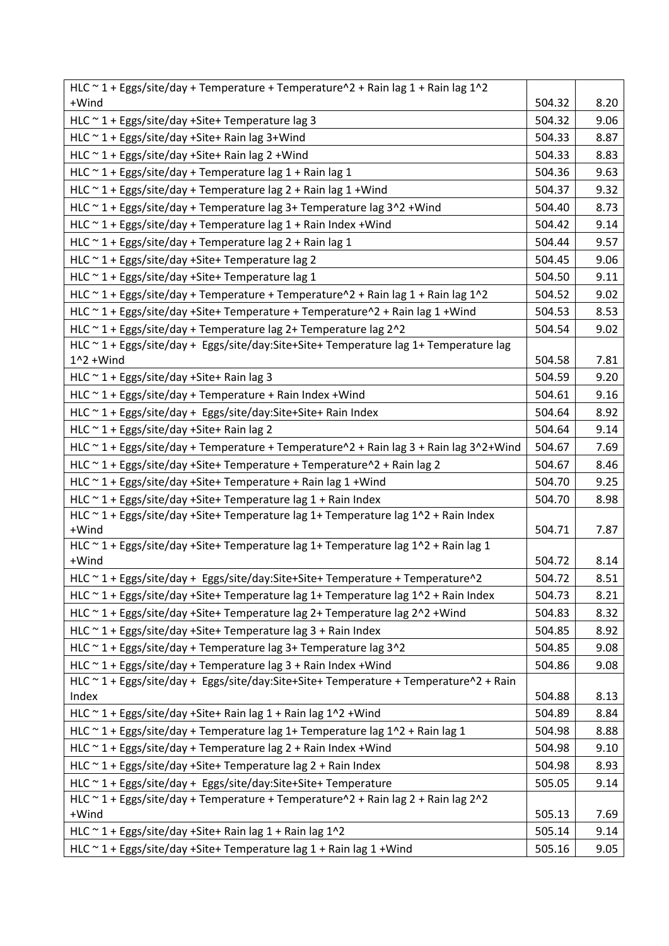| HLC ~ 1 + Eggs/site/day + Temperature + Temperature $\Delta$ + Rain lag 1 + Rain lag 1 $\Delta$ |        |      |
|-------------------------------------------------------------------------------------------------|--------|------|
| +Wind                                                                                           | 504.32 | 8.20 |
| HLC $\sim$ 1 + Eggs/site/day +Site+ Temperature lag 3                                           | 504.32 | 9.06 |
| HLC ~ 1 + Eggs/site/day +Site+ Rain lag 3+Wind                                                  | 504.33 | 8.87 |
| HLC ~ 1 + Eggs/site/day +Site+ Rain lag 2 + Wind                                                | 504.33 | 8.83 |
| HLC ~ 1 + Eggs/site/day + Temperature lag 1 + Rain lag 1                                        | 504.36 | 9.63 |
| HLC $\sim$ 1 + Eggs/site/day + Temperature lag 2 + Rain lag 1 + Wind                            | 504.37 | 9.32 |
| HLC ~ 1 + Eggs/site/day + Temperature lag 3+ Temperature lag 3^2 + Wind                         | 504.40 | 8.73 |
| HLC $\sim$ 1 + Eggs/site/day + Temperature lag 1 + Rain Index + Wind                            | 504.42 | 9.14 |
| HLC $\sim$ 1 + Eggs/site/day + Temperature lag 2 + Rain lag 1                                   | 504.44 | 9.57 |
| HLC ~ 1 + Eggs/site/day +Site+ Temperature lag 2                                                | 504.45 | 9.06 |
| HLC ~ 1 + Eggs/site/day +Site+ Temperature lag 1                                                | 504.50 | 9.11 |
| HLC ~ 1 + Eggs/site/day + Temperature + Temperature^2 + Rain lag 1 + Rain lag 1^2               | 504.52 | 9.02 |
| HLC ~ 1 + Eggs/site/day +Site+ Temperature + Temperature^2 + Rain lag 1 + Wind                  | 504.53 | 8.53 |
| HLC ~ 1 + Eggs/site/day + Temperature lag 2+ Temperature lag 2^2                                | 504.54 | 9.02 |
| HLC ~ 1 + Eggs/site/day + Eggs/site/day:Site+Site+ Temperature lag 1+ Temperature lag           |        |      |
| $1^2$ + Wind                                                                                    | 504.58 | 7.81 |
| HLC ~ 1 + Eggs/site/day +Site+ Rain lag 3                                                       | 504.59 | 9.20 |
| HLC ~ 1 + Eggs/site/day + Temperature + Rain Index + Wind                                       | 504.61 | 9.16 |
| $HLC \sim 1 + Eggs/site/day + Eggs/site/day: Site+Site+ Rain Index$                             | 504.64 | 8.92 |
| HLC ~ 1 + Eggs/site/day +Site+ Rain lag 2                                                       | 504.64 | 9.14 |
| HLC ~ 1 + Eggs/site/day + Temperature + Temperature^2 + Rain lag 3 + Rain lag 3^2+Wind          | 504.67 | 7.69 |
| HLC ~ 1 + Eggs/site/day +Site+ Temperature + Temperature^2 + Rain lag 2                         | 504.67 | 8.46 |
| HLC ~ 1 + Eggs/site/day +Site+ Temperature + Rain lag 1 + Wind                                  | 504.70 | 9.25 |
| HLC $\sim$ 1 + Eggs/site/day +Site+ Temperature lag 1 + Rain Index                              | 504.70 | 8.98 |
| HLC ~ 1 + Eggs/site/day +Site+ Temperature lag 1+ Temperature lag 1^2 + Rain Index              |        |      |
| +Wind<br>HLC ~ 1 + Eggs/site/day +Site+ Temperature lag 1+ Temperature lag 1^2 + Rain lag 1     | 504.71 | 7.87 |
| +Wind                                                                                           | 504.72 | 8.14 |
| HLC ~ 1 + Eggs/site/day + Eggs/site/day:Site+Site+ Temperature + Temperature^2                  | 504.72 | 8.51 |
| HLC ~ 1 + Eggs/site/day +Site+ Temperature lag 1+ Temperature lag 1^2 + Rain Index              | 504.73 | 8.21 |
| HLC ~ 1 + Eggs/site/day +Site+ Temperature lag 2+ Temperature lag 2^2 + Wind                    | 504.83 | 8.32 |
| HLC ~ 1 + Eggs/site/day +Site+ Temperature lag 3 + Rain Index                                   | 504.85 | 8.92 |
| HLC ~ 1 + Eggs/site/day + Temperature lag 3+ Temperature lag 3^2                                | 504.85 | 9.08 |
| HLC ~ 1 + Eggs/site/day + Temperature lag 3 + Rain Index + Wind                                 | 504.86 | 9.08 |
| HLC ~ 1 + Eggs/site/day + Eggs/site/day:Site+Site+ Temperature + Temperature^2 + Rain           |        |      |
| Index                                                                                           | 504.88 | 8.13 |
| HLC ~ 1 + Eggs/site/day +Site+ Rain lag 1 + Rain lag 1^2 + Wind                                 | 504.89 | 8.84 |
| HLC ~ 1 + Eggs/site/day + Temperature lag 1+ Temperature lag 1^2 + Rain lag 1                   | 504.98 | 8.88 |
| HLC $\sim$ 1 + Eggs/site/day + Temperature lag 2 + Rain Index + Wind                            | 504.98 | 9.10 |
| HLC ~ 1 + Eggs/site/day +Site+ Temperature lag 2 + Rain Index                                   | 504.98 | 8.93 |
| HLC ~ 1 + Eggs/site/day + Eggs/site/day:Site+Site+ Temperature                                  | 505.05 | 9.14 |
| HLC ~ 1 + Eggs/site/day + Temperature + Temperature^2 + Rain lag 2 + Rain lag 2^2               |        |      |
| +Wind                                                                                           | 505.13 | 7.69 |
| HLC $\sim$ 1 + Eggs/site/day +Site+ Rain lag 1 + Rain lag 1^2                                   | 505.14 | 9.14 |
| HLC ~ 1 + Eggs/site/day +Site+ Temperature lag 1 + Rain lag 1 + Wind                            | 505.16 | 9.05 |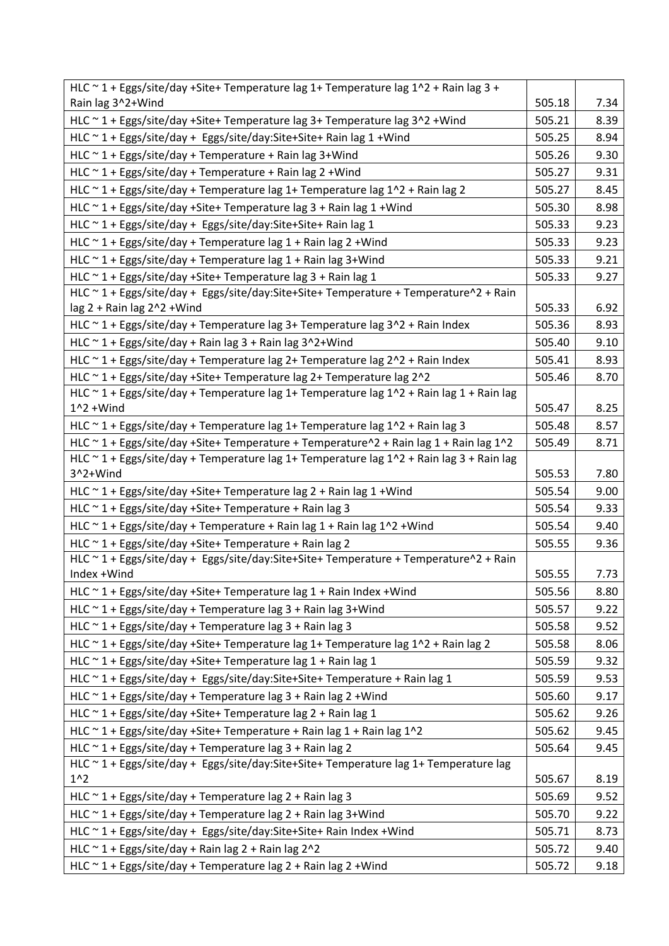| HLC ~ 1 + Eggs/site/day +Site+ Temperature lag 1+ Temperature lag 1^2 + Rain lag 3 +                      |        |      |
|-----------------------------------------------------------------------------------------------------------|--------|------|
| Rain lag 3^2+Wind                                                                                         | 505.18 | 7.34 |
| HLC ~ 1 + Eggs/site/day +Site+ Temperature lag 3+ Temperature lag 3^2 + Wind                              | 505.21 | 8.39 |
| HLC ~ 1 + Eggs/site/day + Eggs/site/day:Site+Site+ Rain lag 1 + Wind                                      | 505.25 | 8.94 |
| HLC ~ 1 + Eggs/site/day + Temperature + Rain lag 3+Wind                                                   | 505.26 | 9.30 |
| HLC ~ 1 + Eggs/site/day + Temperature + Rain lag 2 + Wind                                                 | 505.27 | 9.31 |
| HLC $\sim$ 1 + Eggs/site/day + Temperature lag 1+ Temperature lag 1^2 + Rain lag 2                        | 505.27 | 8.45 |
| HLC ~ 1 + Eggs/site/day +Site+ Temperature lag 3 + Rain lag 1 + Wind                                      | 505.30 | 8.98 |
| HLC ~ 1 + Eggs/site/day + Eggs/site/day:Site+Site+ Rain lag 1                                             | 505.33 | 9.23 |
| HLC $\sim$ 1 + Eggs/site/day + Temperature lag 1 + Rain lag 2 + Wind                                      | 505.33 | 9.23 |
| HLC ~ 1 + Eggs/site/day + Temperature lag 1 + Rain lag 3+Wind                                             | 505.33 | 9.21 |
| HLC ~ 1 + Eggs/site/day +Site+ Temperature lag 3 + Rain lag 1                                             | 505.33 | 9.27 |
| HLC ~ 1 + Eggs/site/day + Eggs/site/day:Site+Site+ Temperature + Temperature^2 + Rain                     |        |      |
| lag 2 + Rain lag 2^2 + Wind                                                                               | 505.33 | 6.92 |
| HLC ~ 1 + Eggs/site/day + Temperature lag 3+ Temperature lag 3^2 + Rain Index                             | 505.36 | 8.93 |
| HLC ~ 1 + Eggs/site/day + Rain lag 3 + Rain lag 3^2+Wind                                                  | 505.40 | 9.10 |
| HLC $\sim$ 1 + Eggs/site/day + Temperature lag 2+ Temperature lag 2 $\sim$ 2 + Rain Index                 | 505.41 | 8.93 |
| HLC ~ 1 + Eggs/site/day +Site+ Temperature lag 2+ Temperature lag 2^2                                     | 505.46 | 8.70 |
| HLC ~ 1 + Eggs/site/day + Temperature lag 1+ Temperature lag 1^2 + Rain lag 1 + Rain lag                  |        |      |
| $1^2$ + Wind                                                                                              | 505.47 | 8.25 |
| HLC $\sim$ 1 + Eggs/site/day + Temperature lag 1+ Temperature lag 1^2 + Rain lag 3                        | 505.48 | 8.57 |
| HLC ~ 1 + Eggs/site/day +Site+ Temperature + Temperature^2 + Rain lag 1 + Rain lag 1^2                    | 505.49 | 8.71 |
| HLC $\sim$ 1 + Eggs/site/day + Temperature lag 1+ Temperature lag 1^2 + Rain lag 3 + Rain lag<br>3^2+Wind | 505.53 | 7.80 |
| HLC ~ 1 + Eggs/site/day +Site+ Temperature lag 2 + Rain lag 1 + Wind                                      | 505.54 | 9.00 |
| HLC ~ 1 + Eggs/site/day +Site+ Temperature + Rain lag 3                                                   | 505.54 | 9.33 |
| HLC $\sim$ 1 + Eggs/site/day + Temperature + Rain lag 1 + Rain lag 1^2 + Wind                             | 505.54 | 9.40 |
| HLC ~ 1 + Eggs/site/day +Site+ Temperature + Rain lag 2                                                   | 505.55 | 9.36 |
| HLC ~ 1 + Eggs/site/day + Eggs/site/day:Site+Site+ Temperature + Temperature^2 + Rain                     |        |      |
| Index +Wind                                                                                               | 505.55 | 7.73 |
| HLC ~ 1 + Eggs/site/day +Site+ Temperature lag 1 + Rain Index + Wind                                      | 505.56 | 8.80 |
| HLC $\sim$ 1 + Eggs/site/day + Temperature lag 3 + Rain lag 3+Wind                                        | 505.57 | 9.22 |
| HLC $\sim$ 1 + Eggs/site/day + Temperature lag 3 + Rain lag 3                                             | 505.58 | 9.52 |
| HLC ~ 1 + Eggs/site/day +Site+ Temperature lag 1+ Temperature lag 1^2 + Rain lag 2                        | 505.58 | 8.06 |
| HLC ~ 1 + Eggs/site/day +Site+ Temperature lag 1 + Rain lag 1                                             | 505.59 | 9.32 |
| HLC ~ 1 + Eggs/site/day + Eggs/site/day:Site+Site+ Temperature + Rain lag 1                               | 505.59 | 9.53 |
| HLC $\sim$ 1 + Eggs/site/day + Temperature lag 3 + Rain lag 2 + Wind                                      | 505.60 | 9.17 |
| HLC ~ 1 + Eggs/site/day +Site+ Temperature lag 2 + Rain lag 1                                             | 505.62 | 9.26 |
| HLC ~ 1 + Eggs/site/day +Site+ Temperature + Rain lag 1 + Rain lag 1^2                                    | 505.62 | 9.45 |
| HLC $\sim$ 1 + Eggs/site/day + Temperature lag 3 + Rain lag 2                                             | 505.64 | 9.45 |
| HLC ~ 1 + Eggs/site/day + Eggs/site/day:Site+Site+ Temperature lag 1+ Temperature lag                     |        |      |
| $1^{\wedge}2$                                                                                             | 505.67 | 8.19 |
| HLC $\sim$ 1 + Eggs/site/day + Temperature lag 2 + Rain lag 3                                             | 505.69 | 9.52 |
| HLC ~ 1 + Eggs/site/day + Temperature lag 2 + Rain lag 3+Wind                                             | 505.70 | 9.22 |
| HLC ~ 1 + Eggs/site/day + Eggs/site/day:Site+Site+ Rain Index + Wind                                      | 505.71 | 8.73 |
| HLC $\sim$ 1 + Eggs/site/day + Rain lag 2 + Rain lag 2^2                                                  | 505.72 | 9.40 |
| HLC ~ 1 + Eggs/site/day + Temperature lag 2 + Rain lag 2 + Wind                                           | 505.72 | 9.18 |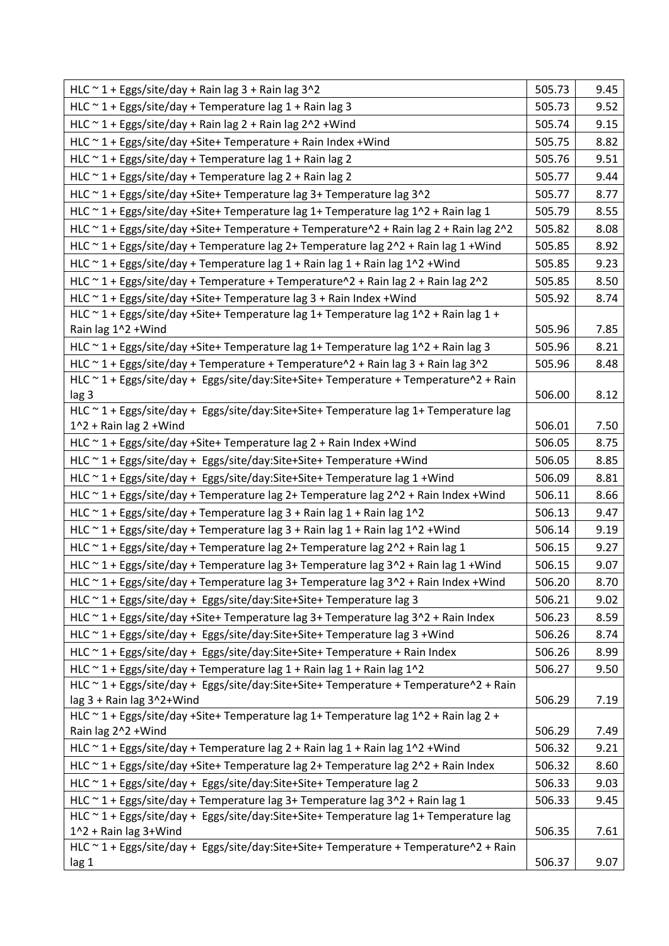| HLC $\sim$ 1 + Eggs/site/day + Rain lag 3 + Rain lag 3^2                                                                                                        | 505.73           | 9.45         |
|-----------------------------------------------------------------------------------------------------------------------------------------------------------------|------------------|--------------|
| HLC $\sim$ 1 + Eggs/site/day + Temperature lag 1 + Rain lag 3                                                                                                   | 505.73           | 9.52         |
| HLC $\sim$ 1 + Eggs/site/day + Rain lag 2 + Rain lag 2^2 + Wind                                                                                                 | 505.74           | 9.15         |
| HLC ~ 1 + Eggs/site/day +Site+ Temperature + Rain Index + Wind                                                                                                  | 505.75           | 8.82         |
| HLC ~ 1 + Eggs/site/day + Temperature lag 1 + Rain lag 2                                                                                                        | 505.76           | 9.51         |
| HLC $\sim$ 1 + Eggs/site/day + Temperature lag 2 + Rain lag 2                                                                                                   | 505.77           | 9.44         |
| HLC ~ 1 + Eggs/site/day +Site+ Temperature lag 3+ Temperature lag 3^2                                                                                           | 505.77           | 8.77         |
| HLC $\sim$ 1 + Eggs/site/day +Site+ Temperature lag 1+ Temperature lag 1^2 + Rain lag 1                                                                         | 505.79           | 8.55         |
| HLC ~ 1 + Eggs/site/day +Site+ Temperature + Temperature^2 + Rain lag 2 + Rain lag 2^2                                                                          | 505.82           | 8.08         |
| HLC ~ 1 + Eggs/site/day + Temperature lag 2+ Temperature lag 2^2 + Rain lag 1 +Wind                                                                             | 505.85           | 8.92         |
| HLC $\sim$ 1 + Eggs/site/day + Temperature lag 1 + Rain lag 1 + Rain lag 1^2 + Wind                                                                             | 505.85           | 9.23         |
| HLC ~ 1 + Eggs/site/day + Temperature + Temperature^2 + Rain lag 2 + Rain lag 2^2                                                                               | 505.85           | 8.50         |
| HLC ~ 1 + Eggs/site/day + Site + Temperature lag 3 + Rain Index + Wind                                                                                          | 505.92           | 8.74         |
| HLC ~ 1 + Eggs/site/day +Site+ Temperature lag 1+ Temperature lag 1^2 + Rain lag 1 +                                                                            |                  |              |
| Rain lag 1^2 + Wind                                                                                                                                             | 505.96           | 7.85         |
| HLC ~ 1 + Eggs/site/day +Site+ Temperature lag 1+ Temperature lag 1^2 + Rain lag 3                                                                              | 505.96           | 8.21         |
| HLC ~ 1 + Eggs/site/day + Temperature + Temperature^2 + Rain lag 3 + Rain lag 3^2                                                                               | 505.96           | 8.48         |
| HLC ~ 1 + Eggs/site/day + Eggs/site/day:Site+Site+ Temperature + Temperature^2 + Rain                                                                           |                  |              |
| lag 3                                                                                                                                                           | 506.00           | 8.12         |
| HLC ~ 1 + Eggs/site/day + Eggs/site/day:Site+Site+ Temperature lag 1+ Temperature lag                                                                           |                  |              |
| $1^2$ + Rain lag 2 + Wind                                                                                                                                       | 506.01<br>506.05 | 7.50         |
| HLC ~ 1 + Eggs/site/day +Site+ Temperature lag 2 + Rain Index + Wind                                                                                            | 506.05           | 8.75         |
| HLC ~ 1 + Eggs/site/day + Eggs/site/day:Site+Site+ Temperature + Wind                                                                                           | 506.09           | 8.85         |
| HLC ~ 1 + Eggs/site/day + Eggs/site/day:Site+Site+ Temperature lag 1 + Wind                                                                                     |                  | 8.81         |
| HLC ~ 1 + Eggs/site/day + Temperature lag 2+ Temperature lag 2^2 + Rain Index +Wind                                                                             | 506.11           | 8.66         |
| HLC $\sim$ 1 + Eggs/site/day + Temperature lag 3 + Rain lag 1 + Rain lag 1^2                                                                                    | 506.13           | 9.47         |
| HLC ~ 1 + Eggs/site/day + Temperature lag 3 + Rain lag 1 + Rain lag 1^2 + Wind<br>HLC ~ 1 + Eggs/site/day + Temperature lag 2+ Temperature lag 2^2 + Rain lag 1 | 506.14<br>506.15 | 9.19<br>9.27 |
| HLC ~ 1 + Eggs/site/day + Temperature lag 3+ Temperature lag 3^2 + Rain lag 1 + Wind                                                                            |                  |              |
|                                                                                                                                                                 | 506.15           | 9.07         |
| HLC ~ 1 + Eggs/site/day + Temperature lag 3+ Temperature lag 3^2 + Rain Index + Wind                                                                            | 506.20           | 8.70         |
| HLC ~ 1 + Eggs/site/day + Eggs/site/day:Site+Site+ Temperature lag 3                                                                                            | 506.21           | 9.02         |
| HLC ~ 1 + Eggs/site/day +Site+ Temperature lag 3+ Temperature lag 3^2 + Rain Index                                                                              | 506.23           | 8.59         |
| HLC ~ 1 + Eggs/site/day + Eggs/site/day:Site+Site+ Temperature lag 3 + Wind                                                                                     | 506.26           | 8.74         |
| HLC ~ 1 + Eggs/site/day + Eggs/site/day:Site+Site+ Temperature + Rain Index                                                                                     | 506.26           | 8.99         |
| HLC $\sim$ 1 + Eggs/site/day + Temperature lag 1 + Rain lag 1 + Rain lag 1^2                                                                                    | 506.27           | 9.50         |
| HLC ~ 1 + Eggs/site/day + Eggs/site/day:Site+Site+ Temperature + Temperature^2 + Rain<br>lag 3 + Rain lag 3^2+Wind                                              | 506.29           | 7.19         |
| HLC ~ 1 + Eggs/site/day +Site+ Temperature lag 1+ Temperature lag 1^2 + Rain lag 2 +                                                                            |                  |              |
| Rain lag 2^2 + Wind                                                                                                                                             | 506.29           | 7.49         |
| HLC $\sim$ 1 + Eggs/site/day + Temperature lag 2 + Rain lag 1 + Rain lag 1^2 + Wind                                                                             | 506.32           | 9.21         |
| HLC ~ 1 + Eggs/site/day +Site+ Temperature lag 2+ Temperature lag 2^2 + Rain Index                                                                              | 506.32           | 8.60         |
| HLC ~ 1 + Eggs/site/day + Eggs/site/day:Site+Site+ Temperature lag 2                                                                                            | 506.33           | 9.03         |
| HLC ~ 1 + Eggs/site/day + Temperature lag 3+ Temperature lag 3^2 + Rain lag 1                                                                                   | 506.33           | 9.45         |
| HLC ~ 1 + Eggs/site/day + Eggs/site/day:Site+Site+ Temperature lag 1+ Temperature lag                                                                           |                  |              |
| 1^2 + Rain lag 3+Wind                                                                                                                                           | 506.35           | 7.61         |
| HLC ~ 1 + Eggs/site/day + Eggs/site/day:Site+Site+ Temperature + Temperature^2 + Rain                                                                           |                  |              |
| lag 1                                                                                                                                                           | 506.37           | 9.07         |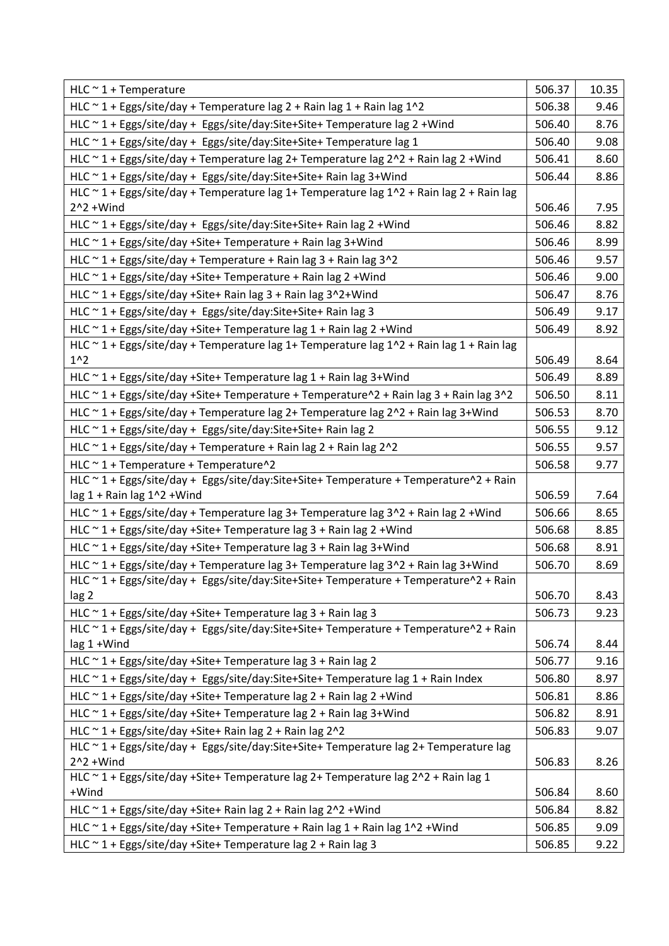| $HLC \sim 1 + Temperature$                                                                                                                             | 506.37 | 10.35 |
|--------------------------------------------------------------------------------------------------------------------------------------------------------|--------|-------|
| HLC $\sim$ 1 + Eggs/site/day + Temperature lag 2 + Rain lag 1 + Rain lag 1^2                                                                           | 506.38 | 9.46  |
| HLC ~ 1 + Eggs/site/day + Eggs/site/day:Site+Site+ Temperature lag 2 + Wind                                                                            | 506.40 | 8.76  |
| HLC ~ 1 + Eggs/site/day + Eggs/site/day:Site+Site+ Temperature lag 1                                                                                   | 506.40 | 9.08  |
| HLC ~ 1 + Eggs/site/day + Temperature lag 2+ Temperature lag 2^2 + Rain lag 2 + Wind                                                                   | 506.41 | 8.60  |
| HLC ~ 1 + Eggs/site/day + Eggs/site/day:Site+Site+ Rain lag 3+Wind                                                                                     | 506.44 | 8.86  |
| HLC ~ 1 + Eggs/site/day + Temperature lag 1+ Temperature lag 1^2 + Rain lag 2 + Rain lag                                                               |        |       |
| $2^2 + Wind$                                                                                                                                           | 506.46 | 7.95  |
| HLC ~ 1 + Eggs/site/day + Eggs/site/day:Site+Site+ Rain lag 2 + Wind                                                                                   | 506.46 | 8.82  |
| HLC ~ 1 + Eggs/site/day +Site+ Temperature + Rain lag 3+Wind                                                                                           | 506.46 | 8.99  |
| HLC ~ 1 + Eggs/site/day + Temperature + Rain lag 3 + Rain lag 3^2                                                                                      | 506.46 | 9.57  |
| HLC ~ 1 + Eggs/site/day +Site+ Temperature + Rain lag 2 + Wind                                                                                         | 506.46 | 9.00  |
| HLC ~ 1 + Eggs/site/day +Site+ Rain lag 3 + Rain lag 3^2+Wind                                                                                          | 506.47 | 8.76  |
| HLC ~ 1 + Eggs/site/day + Eggs/site/day:Site+Site+ Rain lag 3                                                                                          | 506.49 | 9.17  |
| HLC ~ 1 + Eggs/site/day +Site+ Temperature lag 1 + Rain lag 2 + Wind                                                                                   | 506.49 | 8.92  |
| HLC ~ 1 + Eggs/site/day + Temperature lag 1+ Temperature lag 1^2 + Rain lag 1 + Rain lag                                                               |        |       |
| $1^{\wedge}2$                                                                                                                                          | 506.49 | 8.64  |
| HLC $\sim$ 1 + Eggs/site/day +Site+ Temperature lag 1 + Rain lag 3+Wind                                                                                | 506.49 | 8.89  |
| HLC ~ 1 + Eggs/site/day +Site+ Temperature + Temperature^2 + Rain lag 3 + Rain lag 3^2                                                                 | 506.50 | 8.11  |
| HLC ~ 1 + Eggs/site/day + Temperature lag 2+ Temperature lag 2^2 + Rain lag 3+Wind                                                                     | 506.53 | 8.70  |
| HLC ~ 1 + Eggs/site/day + Eggs/site/day:Site+Site+ Rain lag 2                                                                                          | 506.55 | 9.12  |
| HLC ~ 1 + Eggs/site/day + Temperature + Rain lag 2 + Rain lag 2^2                                                                                      | 506.55 | 9.57  |
| HLC ~ 1 + Temperature + Temperature^2                                                                                                                  | 506.58 | 9.77  |
| HLC ~ 1 + Eggs/site/day + Eggs/site/day:Site+Site+ Temperature + Temperature^2 + Rain                                                                  |        |       |
| lag 1 + Rain lag 1^2 + Wind                                                                                                                            | 506.59 | 7.64  |
| HLC ~ 1 + Eggs/site/day + Temperature lag 3+ Temperature lag 3^2 + Rain lag 2 + Wind                                                                   | 506.66 | 8.65  |
| HLC ~ 1 + Eggs/site/day +Site+ Temperature lag 3 + Rain lag 2 + Wind                                                                                   | 506.68 | 8.85  |
| HLC ~ 1 + Eggs/site/day +Site+ Temperature lag 3 + Rain lag 3+Wind                                                                                     | 506.68 | 8.91  |
| HLC ~ 1 + Eggs/site/day + Temperature lag 3+ Temperature lag 3^2 + Rain lag 3+Wind                                                                     | 506.70 | 8.69  |
| HLC ~ 1 + Eggs/site/day + Eggs/site/day:Site+Site+ Temperature + Temperature^2 + Rain                                                                  |        |       |
| lag 2                                                                                                                                                  | 506.70 | 8.43  |
| HLC ~ 1 + Eggs/site/day +Site+ Temperature lag 3 + Rain lag 3<br>HLC ~ 1 + Eggs/site/day + Eggs/site/day:Site+Site+ Temperature + Temperature^2 + Rain | 506.73 | 9.23  |
| lag 1 + Wind                                                                                                                                           | 506.74 | 8.44  |
| HLC ~ 1 + Eggs/site/day +Site+ Temperature lag 3 + Rain lag 2                                                                                          | 506.77 | 9.16  |
| HLC ~ 1 + Eggs/site/day + Eggs/site/day:Site+Site+ Temperature lag 1 + Rain Index                                                                      | 506.80 | 8.97  |
| HLC ~ 1 + Eggs/site/day +Site+ Temperature lag 2 + Rain lag 2 + Wind                                                                                   | 506.81 | 8.86  |
| HLC ~ 1 + Eggs/site/day +Site+ Temperature lag 2 + Rain lag 3+Wind                                                                                     | 506.82 | 8.91  |
| HLC ~ 1 + Eggs/site/day +Site+ Rain lag 2 + Rain lag 2^2                                                                                               | 506.83 | 9.07  |
| HLC ~ 1 + Eggs/site/day + Eggs/site/day:Site+Site+ Temperature lag 2+ Temperature lag                                                                  |        |       |
| $2^2 + Wind$                                                                                                                                           | 506.83 | 8.26  |
| HLC ~ 1 + Eggs/site/day +Site+ Temperature lag 2+ Temperature lag 2^2 + Rain lag 1                                                                     |        |       |
| +Wind                                                                                                                                                  | 506.84 | 8.60  |
| HLC ~ 1 + Eggs/site/day + Site + Rain lag 2 + Rain lag 2 ^ 2 + Wind                                                                                    | 506.84 | 8.82  |
| HLC $\sim$ 1 + Eggs/site/day +Site+ Temperature + Rain lag 1 + Rain lag 1^2 + Wind                                                                     | 506.85 | 9.09  |
| HLC ~ 1 + Eggs/site/day +Site+ Temperature lag 2 + Rain lag 3                                                                                          | 506.85 | 9.22  |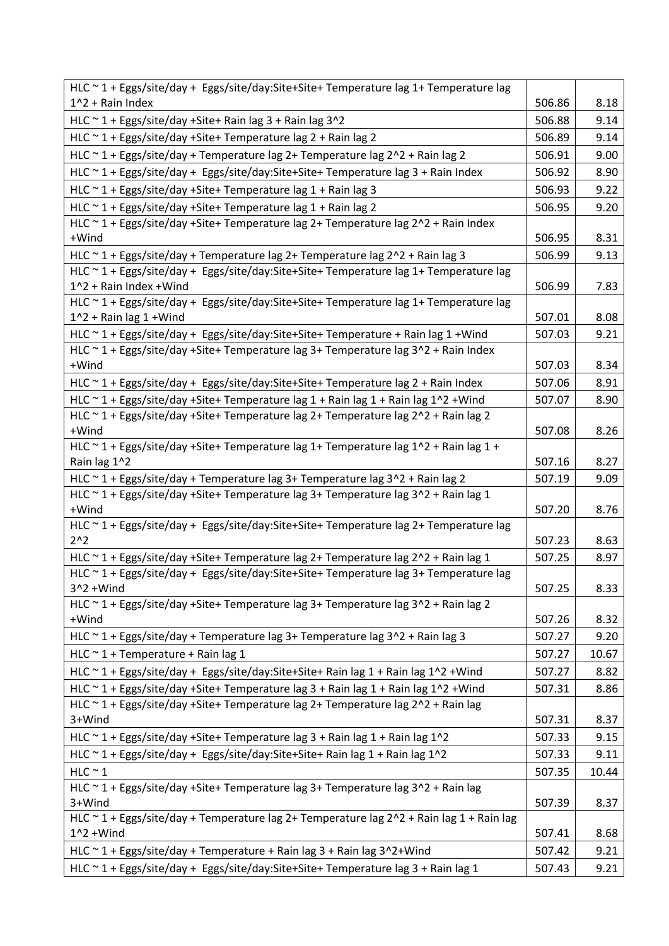| HLC ~ 1 + Eggs/site/day + Eggs/site/day:Site+Site+ Temperature lag 1+ Temperature lag              |        |       |
|----------------------------------------------------------------------------------------------------|--------|-------|
| $1^2$ + Rain Index                                                                                 | 506.86 | 8.18  |
| HLC ~ 1 + Eggs/site/day +Site+ Rain lag 3 + Rain lag 3^2                                           | 506.88 | 9.14  |
| HLC ~ 1 + Eggs/site/day +Site+ Temperature lag 2 + Rain lag 2                                      | 506.89 | 9.14  |
| HLC $\sim$ 1 + Eggs/site/day + Temperature lag 2+ Temperature lag 2 $\sim$ 2 + Rain lag 2          | 506.91 | 9.00  |
| HLC ~ 1 + Eggs/site/day + Eggs/site/day:Site+Site+ Temperature lag 3 + Rain Index                  | 506.92 | 8.90  |
| HLC ~ 1 + Eggs/site/day +Site+ Temperature lag 1 + Rain lag 3                                      | 506.93 | 9.22  |
| HLC ~ 1 + Eggs/site/day +Site+ Temperature lag 1 + Rain lag 2                                      | 506.95 | 9.20  |
| HLC ~ 1 + Eggs/site/day +Site+ Temperature lag 2+ Temperature lag 2^2 + Rain Index                 |        |       |
| +Wind                                                                                              | 506.95 | 8.31  |
| HLC ~ 1 + Eggs/site/day + Temperature lag 2+ Temperature lag 2^2 + Rain lag 3                      | 506.99 | 9.13  |
| HLC ~ 1 + Eggs/site/day + Eggs/site/day:Site+Site+ Temperature lag 1+ Temperature lag              |        |       |
| 1^2 + Rain Index + Wind                                                                            | 506.99 | 7.83  |
| HLC ~ 1 + Eggs/site/day + Eggs/site/day:Site+Site+ Temperature lag 1+ Temperature lag              |        |       |
| $1^2$ + Rain lag 1 + Wind                                                                          | 507.01 | 8.08  |
| HLC ~ 1 + Eggs/site/day + Eggs/site/day:Site+Site+ Temperature + Rain lag 1 + Wind                 | 507.03 | 9.21  |
| HLC ~ 1 + Eggs/site/day +Site+ Temperature lag 3+ Temperature lag 3^2 + Rain Index                 |        |       |
| +Wind                                                                                              | 507.03 | 8.34  |
| HLC ~ 1 + Eggs/site/day + Eggs/site/day:Site+Site+ Temperature lag 2 + Rain Index                  | 507.06 | 8.91  |
| HLC ~ 1 + Eggs/site/day +Site+ Temperature lag 1 + Rain lag 1 + Rain lag 1^2 + Wind                | 507.07 | 8.90  |
| HLC ~ 1 + Eggs/site/day +Site+ Temperature lag 2+ Temperature lag 2^2 + Rain lag 2<br>+Wind        | 507.08 | 8.26  |
| HLC ~ 1 + Eggs/site/day +Site+ Temperature lag 1+ Temperature lag 1^2 + Rain lag 1 +               |        |       |
| Rain lag 1^2                                                                                       | 507.16 | 8.27  |
| HLC ~ 1 + Eggs/site/day + Temperature lag 3+ Temperature lag 3^2 + Rain lag 2                      | 507.19 | 9.09  |
| HLC ~ 1 + Eggs/site/day +Site+ Temperature lag 3+ Temperature lag 3^2 + Rain lag 1                 |        |       |
| +Wind                                                                                              | 507.20 | 8.76  |
| HLC ~ 1 + Eggs/site/day + Eggs/site/day:Site+Site+ Temperature lag 2+ Temperature lag              |        |       |
| $2^{n}2$                                                                                           | 507.23 | 8.63  |
| HLC ~ 1 + Eggs/site/day +Site+ Temperature lag 2+ Temperature lag 2^2 + Rain lag 1                 | 507.25 | 8.97  |
| HLC ~ 1 + Eggs/site/day + Eggs/site/day:Site+Site+ Temperature lag 3+ Temperature lag              |        |       |
| $3^2 +$ Wind                                                                                       | 507.25 | 8.33  |
| HLC ~ 1 + Eggs/site/day +Site+ Temperature lag 3+ Temperature lag 3^2 + Rain lag 2                 |        |       |
| +Wind                                                                                              | 507.26 | 8.32  |
| HLC ~ 1 + Eggs/site/day + Temperature lag 3+ Temperature lag 3^2 + Rain lag 3                      | 507.27 | 9.20  |
| HLC ~ 1 + Temperature + Rain lag 1                                                                 | 507.27 | 10.67 |
| HLC ~ 1 + Eggs/site/day + Eggs/site/day:Site+Site+ Rain lag 1 + Rain lag 1^2 + Wind                | 507.27 | 8.82  |
| HLC ~ 1 + Eggs/site/day +Site+ Temperature lag 3 + Rain lag 1 + Rain lag 1^2 + Wind                | 507.31 | 8.86  |
| HLC ~ 1 + Eggs/site/day +Site+ Temperature lag 2+ Temperature lag 2^2 + Rain lag                   |        |       |
| 3+Wind                                                                                             | 507.31 | 8.37  |
| HLC ~ 1 + Eggs/site/day +Site+ Temperature lag 3 + Rain lag 1 + Rain lag 1^2                       | 507.33 | 9.15  |
| HLC ~ 1 + Eggs/site/day + Eggs/site/day:Site+Site+ Rain lag 1 + Rain lag 1^2                       | 507.33 | 9.11  |
| $HLC \sim 1$                                                                                       | 507.35 | 10.44 |
| HLC ~ 1 + Eggs/site/day +Site+ Temperature lag 3+ Temperature lag 3^2 + Rain lag                   |        |       |
| 3+Wind<br>HLC ~ 1 + Eggs/site/day + Temperature lag 2+ Temperature lag 2^2 + Rain lag 1 + Rain lag | 507.39 | 8.37  |
| $1^2$ + Wind                                                                                       | 507.41 | 8.68  |
| HLC ~ 1 + Eggs/site/day + Temperature + Rain lag 3 + Rain lag 3^2+Wind                             | 507.42 | 9.21  |
| HLC ~ 1 + Eggs/site/day + Eggs/site/day:Site+Site+ Temperature lag 3 + Rain lag 1                  | 507.43 | 9.21  |
|                                                                                                    |        |       |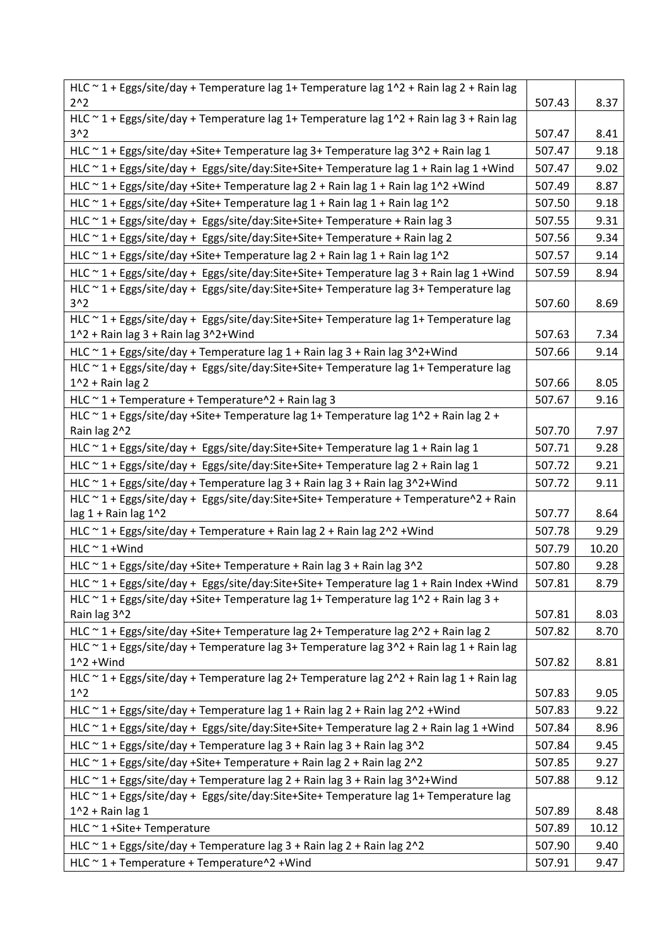| HLC ~ 1 + Eggs/site/day + Temperature lag 1+ Temperature lag 1^2 + Rain lag 2 + Rain lag                                                                                       |        |       |
|--------------------------------------------------------------------------------------------------------------------------------------------------------------------------------|--------|-------|
| $2^{\wedge}2$                                                                                                                                                                  | 507.43 | 8.37  |
| HLC ~ 1 + Eggs/site/day + Temperature lag 1+ Temperature lag 1^2 + Rain lag 3 + Rain lag                                                                                       |        |       |
| 3 <sup>2</sup>                                                                                                                                                                 | 507.47 | 8.41  |
| HLC ~ 1 + Eggs/site/day +Site+ Temperature lag 3+ Temperature lag 3^2 + Rain lag 1                                                                                             | 507.47 | 9.18  |
| HLC ~ 1 + Eggs/site/day + Eggs/site/day:Site+Site+ Temperature lag 1 + Rain lag 1 + Wind                                                                                       | 507.47 | 9.02  |
| HLC ~ 1 + Eggs/site/day +Site+ Temperature lag 2 + Rain lag 1 + Rain lag 1^2 + Wind                                                                                            | 507.49 | 8.87  |
| HLC $\sim$ 1 + Eggs/site/day +Site+ Temperature lag 1 + Rain lag 1 + Rain lag 1^2                                                                                              | 507.50 | 9.18  |
| HLC ~ 1 + Eggs/site/day + Eggs/site/day:Site+Site+ Temperature + Rain lag 3                                                                                                    | 507.55 | 9.31  |
| HLC ~ 1 + Eggs/site/day + Eggs/site/day:Site+Site+ Temperature + Rain lag 2                                                                                                    | 507.56 | 9.34  |
| HLC ~ 1 + Eggs/site/day +Site+ Temperature lag 2 + Rain lag 1 + Rain lag 1^2                                                                                                   | 507.57 | 9.14  |
| HLC ~ 1 + Eggs/site/day + Eggs/site/day:Site+Site+ Temperature lag 3 + Rain lag 1 + Wind                                                                                       | 507.59 | 8.94  |
| HLC ~ 1 + Eggs/site/day + Eggs/site/day:Site+Site+ Temperature lag 3+ Temperature lag                                                                                          |        |       |
| 3 <sub>2</sub>                                                                                                                                                                 | 507.60 | 8.69  |
| HLC ~ 1 + Eggs/site/day + Eggs/site/day:Site+Site+ Temperature lag 1+ Temperature lag                                                                                          |        |       |
| 1^2 + Rain lag 3 + Rain lag 3^2+Wind                                                                                                                                           | 507.63 | 7.34  |
| HLC $\sim$ 1 + Eggs/site/day + Temperature lag 1 + Rain lag 3 + Rain lag 3 $\sim$ 2+Wind                                                                                       | 507.66 | 9.14  |
| HLC ~ 1 + Eggs/site/day + Eggs/site/day:Site+Site+ Temperature lag 1+ Temperature lag                                                                                          |        |       |
| $1^2$ + Rain lag 2                                                                                                                                                             | 507.66 | 8.05  |
| HLC $\sim$ 1 + Temperature + Temperature $\sim$ 2 + Rain lag 3                                                                                                                 | 507.67 | 9.16  |
| HLC ~ 1 + Eggs/site/day +Site+ Temperature lag 1+ Temperature lag 1^2 + Rain lag 2 +                                                                                           |        |       |
| Rain lag 2^2                                                                                                                                                                   | 507.70 | 7.97  |
| HLC ~ 1 + Eggs/site/day + Eggs/site/day:Site+Site+ Temperature lag 1 + Rain lag 1                                                                                              | 507.71 | 9.28  |
| HLC ~ 1 + Eggs/site/day + Eggs/site/day:Site+Site+ Temperature lag 2 + Rain lag 1                                                                                              | 507.72 | 9.21  |
| HLC ~ 1 + Eggs/site/day + Temperature lag 3 + Rain lag 3 + Rain lag 3^2+Wind                                                                                                   | 507.72 | 9.11  |
| HLC ~ 1 + Eggs/site/day + Eggs/site/day:Site+Site+ Temperature + Temperature^2 + Rain                                                                                          |        |       |
| lag $1 +$ Rain lag $1^2$                                                                                                                                                       | 507.77 | 8.64  |
| HLC ~ 1 + Eggs/site/day + Temperature + Rain lag 2 + Rain lag 2^2 + Wind                                                                                                       | 507.78 | 9.29  |
| $HLC \sim 1 + Wind$                                                                                                                                                            | 507.79 | 10.20 |
| HLC ~ 1 + Eggs/site/day +Site+ Temperature + Rain lag 3 + Rain lag 3^2                                                                                                         | 507.80 | 9.28  |
| HLC ~ 1 + Eggs/site/day + Eggs/site/day:Site+Site+ Temperature lag 1 + Rain Index +Wind                                                                                        | 507.81 | 8.79  |
| HLC ~ 1 + Eggs/site/day +Site+ Temperature lag 1+ Temperature lag 1^2 + Rain lag 3 +                                                                                           | 507.81 |       |
| Rain lag 3^2                                                                                                                                                                   |        | 8.03  |
| HLC ~ 1 + Eggs/site/day +Site+ Temperature lag 2+ Temperature lag 2^2 + Rain lag 2<br>HLC ~ 1 + Eggs/site/day + Temperature lag 3+ Temperature lag 3^2 + Rain lag 1 + Rain lag | 507.82 | 8.70  |
| $1^2$ + Wind                                                                                                                                                                   | 507.82 | 8.81  |
| HLC ~ 1 + Eggs/site/day + Temperature lag 2+ Temperature lag 2^2 + Rain lag 1 + Rain lag                                                                                       |        |       |
| $1^{\prime}2$                                                                                                                                                                  | 507.83 | 9.05  |
| HLC $\sim$ 1 + Eggs/site/day + Temperature lag 1 + Rain lag 2 + Rain lag 2 $\sim$ 2 + Wind                                                                                     | 507.83 | 9.22  |
| HLC ~ 1 + Eggs/site/day + Eggs/site/day:Site+Site+ Temperature lag 2 + Rain lag 1 +Wind                                                                                        | 507.84 | 8.96  |
| HLC ~ 1 + Eggs/site/day + Temperature lag 3 + Rain lag 3 + Rain lag 3^2                                                                                                        | 507.84 | 9.45  |
| HLC $\sim$ 1 + Eggs/site/day +Site+ Temperature + Rain lag 2 + Rain lag 2 $\cdot$ 2                                                                                            | 507.85 | 9.27  |
| HLC ~ 1 + Eggs/site/day + Temperature lag 2 + Rain lag 3 + Rain lag 3^2+Wind                                                                                                   | 507.88 | 9.12  |
| HLC ~ 1 + Eggs/site/day + Eggs/site/day:Site+Site+ Temperature lag 1+ Temperature lag                                                                                          |        |       |
| $1^2$ + Rain lag 1                                                                                                                                                             | 507.89 | 8.48  |
| $HLC \sim 1 + Site+ Temperature$                                                                                                                                               | 507.89 | 10.12 |
| HLC $\sim$ 1 + Eggs/site/day + Temperature lag 3 + Rain lag 2 + Rain lag 2 $\sim$ 2                                                                                            | 507.90 | 9.40  |
| HLC ~ 1 + Temperature + Temperature^2 + Wind                                                                                                                                   | 507.91 | 9.47  |
|                                                                                                                                                                                |        |       |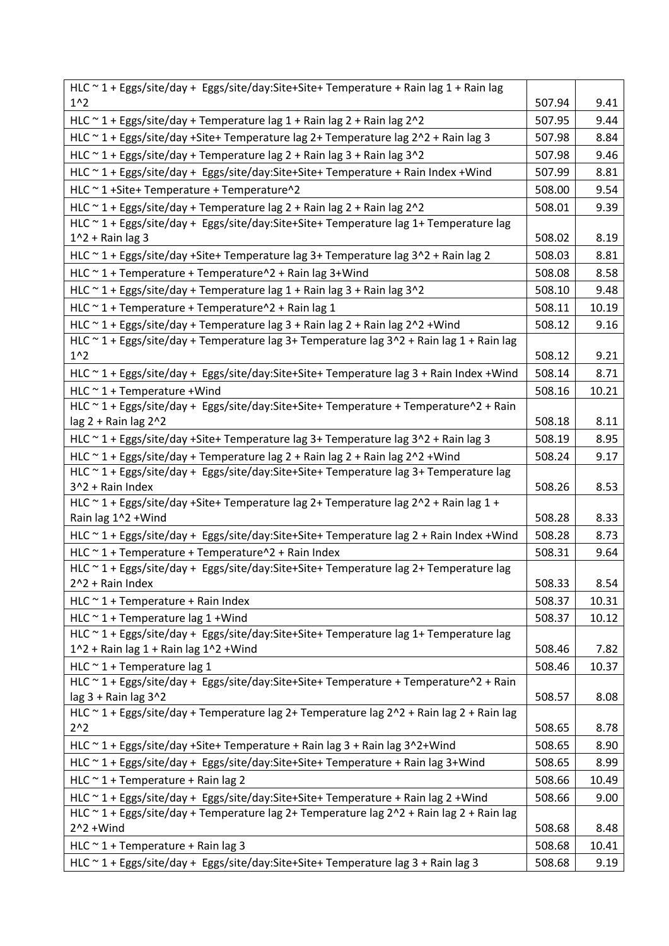| HLC ~ 1 + Eggs/site/day + Eggs/site/day:Site+Site+ Temperature + Rain lag 1 + Rain lag                           |        |       |
|------------------------------------------------------------------------------------------------------------------|--------|-------|
| $1^{\wedge}2$                                                                                                    | 507.94 | 9.41  |
| HLC $\sim$ 1 + Eggs/site/day + Temperature lag 1 + Rain lag 2 + Rain lag 2^2                                     | 507.95 | 9.44  |
| HLC ~ 1 + Eggs/site/day +Site+ Temperature lag 2+ Temperature lag 2^2 + Rain lag 3                               | 507.98 | 8.84  |
| HLC $\sim$ 1 + Eggs/site/day + Temperature lag 2 + Rain lag 3 + Rain lag 3^2                                     | 507.98 | 9.46  |
| HLC ~ 1 + Eggs/site/day + Eggs/site/day:Site+Site+ Temperature + Rain Index + Wind                               | 507.99 | 8.81  |
| HLC ~ 1 + Site + Temperature + Temperature ^ 2                                                                   | 508.00 | 9.54  |
| HLC $\sim$ 1 + Eggs/site/day + Temperature lag 2 + Rain lag 2 + Rain lag 2^2                                     | 508.01 | 9.39  |
| HLC ~ 1 + Eggs/site/day + Eggs/site/day:Site+Site+ Temperature lag 1+ Temperature lag                            |        |       |
| $1^2$ + Rain lag 3                                                                                               | 508.02 | 8.19  |
| HLC ~ 1 + Eggs/site/day +Site+ Temperature lag 3+ Temperature lag 3^2 + Rain lag 2                               | 508.03 | 8.81  |
| HLC ~ 1 + Temperature + Temperature^2 + Rain lag 3+Wind                                                          | 508.08 | 8.58  |
| HLC $\sim$ 1 + Eggs/site/day + Temperature lag 1 + Rain lag 3 + Rain lag 3^2                                     | 508.10 | 9.48  |
| HLC $\sim$ 1 + Temperature + Temperature $\sim$ 2 + Rain lag 1                                                   | 508.11 | 10.19 |
| HLC $\sim$ 1 + Eggs/site/day + Temperature lag 3 + Rain lag 2 + Rain lag 2 $\sim$ 2 + Wind                       | 508.12 | 9.16  |
| HLC ~ 1 + Eggs/site/day + Temperature lag 3+ Temperature lag 3^2 + Rain lag 1 + Rain lag                         |        |       |
| 1 <sup>2</sup>                                                                                                   | 508.12 | 9.21  |
| HLC ~ 1 + Eggs/site/day + Eggs/site/day:Site+Site+ Temperature lag 3 + Rain Index +Wind                          | 508.14 | 8.71  |
| HLC $\sim$ 1 + Temperature + Wind                                                                                | 508.16 | 10.21 |
| HLC ~ 1 + Eggs/site/day + Eggs/site/day:Site+Site+ Temperature + Temperature^2 + Rain                            |        |       |
| lag 2 + Rain lag 2^2                                                                                             | 508.18 | 8.11  |
| HLC ~ 1 + Eggs/site/day +Site+ Temperature lag 3+ Temperature lag 3^2 + Rain lag 3                               | 508.19 | 8.95  |
| HLC ~ 1 + Eggs/site/day + Temperature lag 2 + Rain lag 2 + Rain lag 2^2 + Wind                                   | 508.24 | 9.17  |
| HLC ~ 1 + Eggs/site/day + Eggs/site/day:Site+Site+ Temperature lag 3+ Temperature lag<br>3^2 + Rain Index        | 508.26 | 8.53  |
| HLC ~ 1 + Eggs/site/day +Site+ Temperature lag 2+ Temperature lag 2^2 + Rain lag 1 +                             |        |       |
| Rain lag 1^2 + Wind                                                                                              | 508.28 | 8.33  |
| HLC ~ 1 + Eggs/site/day + Eggs/site/day:Site+Site+ Temperature lag 2 + Rain Index +Wind                          | 508.28 | 8.73  |
| HLC $\sim$ 1 + Temperature + Temperature $\sim$ 2 + Rain Index                                                   | 508.31 | 9.64  |
| HLC ~ 1 + Eggs/site/day + Eggs/site/day:Site+Site+ Temperature lag 2+ Temperature lag                            |        |       |
| 2^2 + Rain Index                                                                                                 | 508.33 | 8.54  |
| $HLC \sim 1 + Temperature + Rain Index$                                                                          | 508.37 | 10.31 |
| HLC $\sim$ 1 + Temperature lag 1 + Wind                                                                          | 508.37 | 10.12 |
| HLC ~ 1 + Eggs/site/day + Eggs/site/day:Site+Site+ Temperature lag 1+ Temperature lag                            |        |       |
| $1^2$ + Rain lag 1 + Rain lag $1^2$ + Wind                                                                       | 508.46 | 7.82  |
| HLC $\sim$ 1 + Temperature lag 1                                                                                 | 508.46 | 10.37 |
| HLC ~ 1 + Eggs/site/day + Eggs/site/day:Site+Site+ Temperature + Temperature^2 + Rain                            |        |       |
| lag 3 + Rain lag 3^2<br>HLC ~ 1 + Eggs/site/day + Temperature lag 2+ Temperature lag 2^2 + Rain lag 2 + Rain lag | 508.57 | 8.08  |
| $2^{\wedge}2$                                                                                                    | 508.65 | 8.78  |
| HLC ~ 1 + Eggs/site/day +Site+ Temperature + Rain lag 3 + Rain lag 3^2+Wind                                      | 508.65 | 8.90  |
| HLC ~ 1 + Eggs/site/day + Eggs/site/day:Site+Site+ Temperature + Rain lag 3+Wind                                 | 508.65 | 8.99  |
| HLC $\sim$ 1 + Temperature + Rain lag 2                                                                          | 508.66 | 10.49 |
| HLC ~ 1 + Eggs/site/day + Eggs/site/day:Site+Site+ Temperature + Rain lag 2 + Wind                               | 508.66 | 9.00  |
| HLC ~ 1 + Eggs/site/day + Temperature lag 2+ Temperature lag 2^2 + Rain lag 2 + Rain lag                         |        |       |
| $2^2 + Wind$                                                                                                     | 508.68 | 8.48  |
| HLC ~ 1 + Temperature + Rain lag 3                                                                               | 508.68 | 10.41 |
| HLC ~ 1 + Eggs/site/day + Eggs/site/day:Site+Site+ Temperature lag 3 + Rain lag 3                                | 508.68 | 9.19  |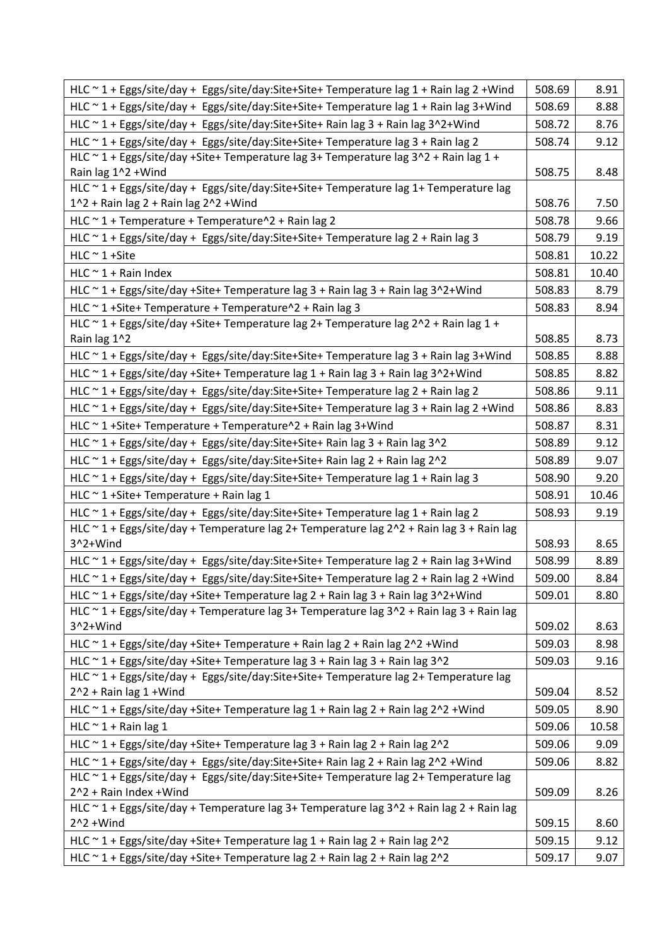| HLC ~ 1 + Eggs/site/day + Eggs/site/day:Site+Site+ Temperature lag 1 + Rain lag 2 +Wind                                         | 508.69 | 8.91  |
|---------------------------------------------------------------------------------------------------------------------------------|--------|-------|
| HLC ~ 1 + Eggs/site/day + Eggs/site/day:Site+Site+ Temperature lag 1 + Rain lag 3+Wind                                          | 508.69 | 8.88  |
| HLC ~ 1 + Eggs/site/day + Eggs/site/day:Site+Site+ Rain lag 3 + Rain lag 3^2+Wind                                               | 508.72 | 8.76  |
| HLC ~ 1 + Eggs/site/day + Eggs/site/day:Site+Site+Temperature lag 3 + Rain lag 2                                                | 508.74 | 9.12  |
| HLC ~ 1 + Eggs/site/day +Site+ Temperature lag 3+ Temperature lag 3^2 + Rain lag 1 +<br>Rain lag 1^2 + Wind                     | 508.75 | 8.48  |
| HLC ~ 1 + Eggs/site/day + Eggs/site/day:Site+Site+ Temperature lag 1+ Temperature lag<br>1^2 + Rain lag 2 + Rain lag 2^2 + Wind | 508.76 | 7.50  |
| HLC $\sim$ 1 + Temperature + Temperature $\sim$ 2 + Rain lag 2                                                                  | 508.78 | 9.66  |
| HLC ~ 1 + Eggs/site/day + Eggs/site/day:Site+Site+ Temperature lag 2 + Rain lag 3                                               | 508.79 | 9.19  |
| $HLC \sim 1 + \text{Site}$                                                                                                      | 508.81 | 10.22 |
| HLC $\sim$ 1 + Rain Index                                                                                                       | 508.81 | 10.40 |
| HLC ~ 1 + Eggs/site/day +Site+ Temperature lag 3 + Rain lag 3 + Rain lag 3^2+Wind                                               | 508.83 | 8.79  |
| HLC ~ 1 + Site + Temperature + Temperature ^ 2 + Rain lag 3                                                                     | 508.83 | 8.94  |
| HLC ~ 1 + Eggs/site/day +Site+ Temperature lag 2+ Temperature lag 2^2 + Rain lag 1 +<br>Rain lag 1^2                            | 508.85 | 8.73  |
| HLC ~ 1 + Eggs/site/day + Eggs/site/day:Site+Site+ Temperature lag 3 + Rain lag 3+Wind                                          | 508.85 | 8.88  |
| HLC ~ 1 + Eggs/site/day +Site+ Temperature lag 1 + Rain lag 3 + Rain lag 3^2+Wind                                               | 508.85 | 8.82  |
| HLC ~ 1 + Eggs/site/day + Eggs/site/day:Site+Site+ Temperature lag 2 + Rain lag 2                                               | 508.86 | 9.11  |
| HLC ~ 1 + Eggs/site/day + Eggs/site/day:Site+Site+ Temperature lag 3 + Rain lag 2 + Wind                                        | 508.86 | 8.83  |
| HLC ~ 1 + Site + Temperature + Temperature ^ 2 + Rain lag 3 + Wind                                                              | 508.87 | 8.31  |
| HLC ~ 1 + Eggs/site/day + Eggs/site/day:Site+Site+ Rain lag 3 + Rain lag 3^2                                                    | 508.89 | 9.12  |
| HLC ~ 1 + Eggs/site/day + Eggs/site/day:Site+Site+ Rain lag 2 + Rain lag 2^2                                                    | 508.89 | 9.07  |
| HLC ~ 1 + Eggs/site/day + Eggs/site/day:Site+Site+ Temperature lag 1 + Rain lag 3                                               | 508.90 | 9.20  |
| HLC ~ 1 + Site + Temperature + Rain lag 1                                                                                       | 508.91 | 10.46 |
| HLC ~ 1 + Eggs/site/day + Eggs/site/day:Site+Site+ Temperature lag 1 + Rain lag 2                                               | 508.93 | 9.19  |
| HLC ~ 1 + Eggs/site/day + Temperature lag 2+ Temperature lag 2^2 + Rain lag 3 + Rain lag<br>3^2+Wind                            | 508.93 | 8.65  |
| HLC ~ 1 + Eggs/site/day + Eggs/site/day:Site+Site+ Temperature lag 2 + Rain lag 3+Wind                                          | 508.99 | 8.89  |
| HLC ~ 1 + Eggs/site/day + Eggs/site/day:Site+Site+ Temperature lag 2 + Rain lag 2 + Wind                                        | 509.00 | 8.84  |
| HLC ~ 1 + Eggs/site/day +Site+ Temperature lag 2 + Rain lag 3 + Rain lag 3^2+Wind                                               | 509.01 | 8.80  |
| HLC ~ 1 + Eggs/site/day + Temperature lag 3+ Temperature lag 3^2 + Rain lag 3 + Rain lag                                        |        |       |
| 3^2+Wind                                                                                                                        | 509.02 | 8.63  |
| HLC ~ 1 + Eggs/site/day +Site+ Temperature + Rain lag 2 + Rain lag 2^2 + Wind                                                   | 509.03 | 8.98  |
| HLC ~ 1 + Eggs/site/day +Site+ Temperature lag 3 + Rain lag 3 + Rain lag 3^2                                                    | 509.03 | 9.16  |
| HLC ~ 1 + Eggs/site/day + Eggs/site/day:Site+Site+ Temperature lag 2+ Temperature lag<br>$2^2 +$ Rain lag 1 + Wind              | 509.04 | 8.52  |
| HLC ~ 1 + Eggs/site/day +Site+ Temperature lag 1 + Rain lag 2 + Rain lag 2^2 + Wind                                             | 509.05 | 8.90  |
| HLC $\sim$ 1 + Rain lag 1                                                                                                       | 509.06 | 10.58 |
| HLC ~ 1 + Eggs/site/day +Site+ Temperature lag 3 + Rain lag 2 + Rain lag 2^2                                                    | 509.06 | 9.09  |
| HLC ~ 1 + Eggs/site/day + Eggs/site/day:Site+Site+ Rain lag 2 + Rain lag 2^2 + Wind                                             | 509.06 | 8.82  |
| HLC ~ 1 + Eggs/site/day + Eggs/site/day:Site+Site+ Temperature lag 2+ Temperature lag<br>2^2 + Rain Index + Wind                | 509.09 | 8.26  |
| HLC ~ 1 + Eggs/site/day + Temperature lag 3+ Temperature lag 3^2 + Rain lag 2 + Rain lag                                        |        |       |
| $2^2 + Wind$                                                                                                                    | 509.15 | 8.60  |
| HLC ~ 1 + Eggs/site/day +Site+ Temperature lag 1 + Rain lag 2 + Rain lag 2^2                                                    | 509.15 | 9.12  |
| HLC ~ 1 + Eggs/site/day +Site+ Temperature lag 2 + Rain lag 2 + Rain lag 2^2                                                    | 509.17 | 9.07  |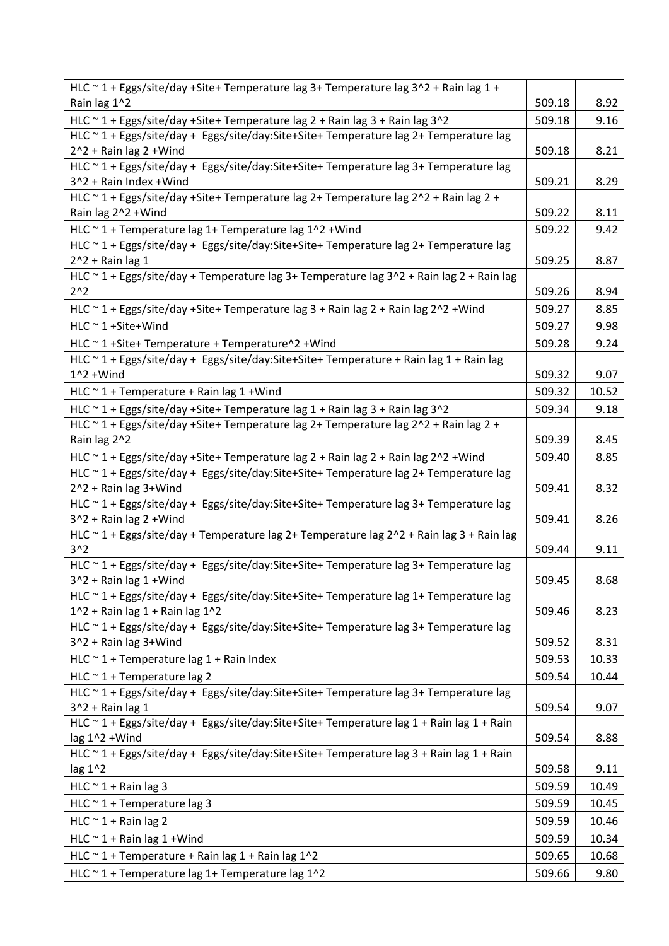| HLC ~ 1 + Eggs/site/day +Site+ Temperature lag 3+ Temperature lag 3^2 + Rain lag 1 +                                         |        |       |
|------------------------------------------------------------------------------------------------------------------------------|--------|-------|
| Rain lag 1^2                                                                                                                 | 509.18 | 8.92  |
| HLC ~ 1 + Eggs/site/day +Site+ Temperature lag 2 + Rain lag 3 + Rain lag 3^2                                                 | 509.18 | 9.16  |
| HLC ~ 1 + Eggs/site/day + Eggs/site/day:Site+Site+ Temperature lag 2+ Temperature lag                                        |        |       |
| $2^2 +$ Rain lag 2 + Wind                                                                                                    | 509.18 | 8.21  |
| HLC ~ 1 + Eggs/site/day + Eggs/site/day:Site+Site+ Temperature lag 3+ Temperature lag                                        |        |       |
| 3^2 + Rain Index + Wind                                                                                                      | 509.21 | 8.29  |
| HLC $\sim$ 1 + Eggs/site/day +Site+ Temperature lag 2+ Temperature lag 2 $\sim$ 2 + Rain lag 2 +                             |        |       |
| Rain lag 2^2 + Wind                                                                                                          | 509.22 | 8.11  |
| HLC ~ 1 + Temperature lag 1+ Temperature lag 1^2 + Wind                                                                      | 509.22 | 9.42  |
| HLC ~ 1 + Eggs/site/day + Eggs/site/day:Site+Site+ Temperature lag 2+ Temperature lag                                        |        |       |
| $2^2 +$ Rain lag 1                                                                                                           | 509.25 | 8.87  |
| HLC ~ 1 + Eggs/site/day + Temperature lag 3+ Temperature lag 3^2 + Rain lag 2 + Rain lag                                     |        |       |
| $2^{n}2$                                                                                                                     | 509.26 | 8.94  |
| HLC ~ 1 + Eggs/site/day +Site+ Temperature lag 3 + Rain lag 2 + Rain lag 2^2 + Wind                                          | 509.27 | 8.85  |
| $HLC \sim 1 + \text{Site+Wind}$                                                                                              | 509.27 | 9.98  |
| HLC ~ 1 + Site + Temperature + Temperature ^ 2 + Wind                                                                        | 509.28 | 9.24  |
| HLC ~ 1 + Eggs/site/day + Eggs/site/day:Site+Site+ Temperature + Rain lag 1 + Rain lag                                       |        |       |
| $1^2$ + Wind                                                                                                                 | 509.32 | 9.07  |
| HLC $\sim$ 1 + Temperature + Rain lag 1 + Wind                                                                               | 509.32 | 10.52 |
| HLC ~ 1 + Eggs/site/day +Site+ Temperature lag 1 + Rain lag 3 + Rain lag 3^2                                                 | 509.34 | 9.18  |
| HLC ~ 1 + Eggs/site/day +Site+ Temperature lag 2+ Temperature lag 2^2 + Rain lag 2 +                                         |        |       |
| Rain lag 2^2                                                                                                                 | 509.39 | 8.45  |
| HLC ~ 1 + Eggs/site/day +Site+ Temperature lag 2 + Rain lag 2 + Rain lag 2^2 + Wind                                          | 509.40 | 8.85  |
| HLC ~ 1 + Eggs/site/day + Eggs/site/day:Site+Site+ Temperature lag 2+ Temperature lag                                        |        |       |
| 2^2 + Rain lag 3+Wind                                                                                                        | 509.41 | 8.32  |
| HLC ~ 1 + Eggs/site/day + Eggs/site/day:Site+Site+ Temperature lag 3+ Temperature lag                                        |        |       |
| 3^2 + Rain lag 2 + Wind                                                                                                      | 509.41 | 8.26  |
| HLC ~ 1 + Eggs/site/day + Temperature lag 2+ Temperature lag 2^2 + Rain lag 3 + Rain lag                                     |        |       |
| 3 <sup>2</sup>                                                                                                               | 509.44 | 9.11  |
| HLC ~ 1 + Eggs/site/day + Eggs/site/day:Site+Site+ Temperature lag 3+ Temperature lag                                        |        |       |
| $3^2 +$ Rain lag 1 + Wind                                                                                                    | 509.45 | 8.68  |
| HLC ~ 1 + Eggs/site/day + Eggs/site/day:Site+Site+ Temperature lag 1+ Temperature lag<br>$1^2$ + Rain lag 1 + Rain lag $1^2$ | 509.46 | 8.23  |
| HLC ~ 1 + Eggs/site/day + Eggs/site/day:Site+Site+ Temperature lag 3+ Temperature lag                                        |        |       |
| 3^2 + Rain lag 3+Wind                                                                                                        | 509.52 | 8.31  |
| HLC $\sim$ 1 + Temperature lag 1 + Rain Index                                                                                | 509.53 | 10.33 |
|                                                                                                                              |        |       |
| HLC $\sim$ 1 + Temperature lag 2<br>HLC ~ 1 + Eggs/site/day + Eggs/site/day:Site+Site+ Temperature lag 3+ Temperature lag    | 509.54 | 10.44 |
| $3^2 +$ Rain lag 1                                                                                                           | 509.54 | 9.07  |
| HLC ~ 1 + Eggs/site/day + Eggs/site/day:Site+Site+ Temperature lag 1 + Rain lag 1 + Rain                                     |        |       |
| lag 1^2 +Wind                                                                                                                | 509.54 | 8.88  |
| HLC ~ 1 + Eggs/site/day + Eggs/site/day:Site+Site+ Temperature lag 3 + Rain lag 1 + Rain                                     |        |       |
| lag 1^2                                                                                                                      | 509.58 | 9.11  |
| HLC $\sim$ 1 + Rain lag 3                                                                                                    | 509.59 | 10.49 |
| HLC $\sim$ 1 + Temperature lag 3                                                                                             | 509.59 | 10.45 |
| HLC $\sim$ 1 + Rain lag 2                                                                                                    | 509.59 | 10.46 |
|                                                                                                                              |        |       |
| HLC $\sim$ 1 + Rain lag 1 + Wind                                                                                             | 509.59 | 10.34 |
| HLC $\sim$ 1 + Temperature + Rain lag 1 + Rain lag 1^2                                                                       | 509.65 | 10.68 |
| HLC ~ 1 + Temperature lag 1+ Temperature lag 1^2                                                                             | 509.66 | 9.80  |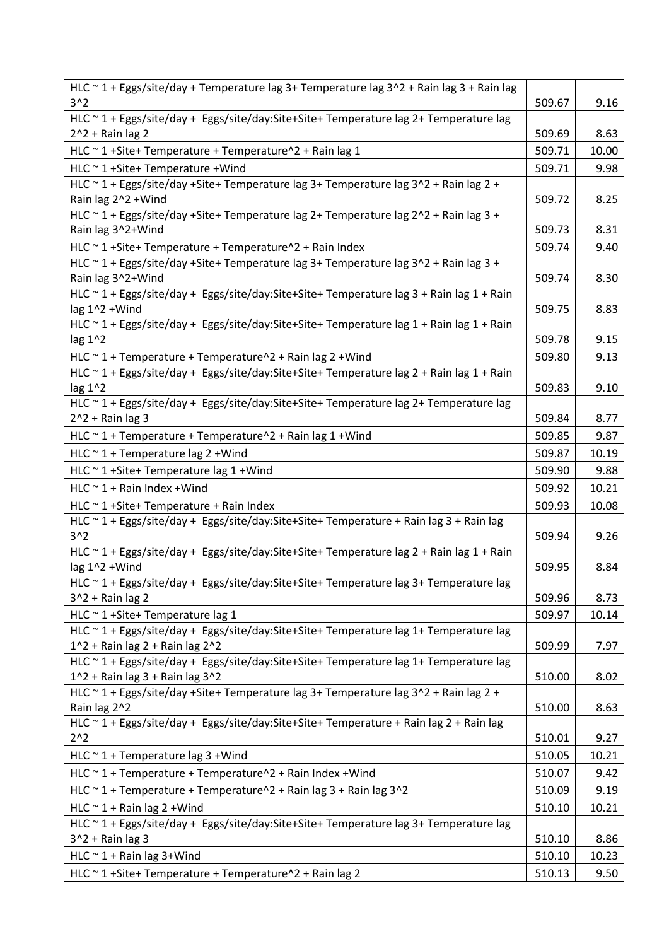| $3^2$<br>509.67<br>9.16<br>HLC ~ 1 + Eggs/site/day + Eggs/site/day:Site+Site+ Temperature lag 2+ Temperature lag<br>$2^2 +$ Rain lag 2<br>509.69<br>8.63<br>HLC ~ 1 + Site + Temperature + Temperature ^ 2 + Rain lag 1<br>509.71<br>10.00<br>HLC ~ 1 + Site + Temperature + Wind<br>509.71<br>9.98<br>HLC ~ 1 + Eggs/site/day +Site+ Temperature lag 3+ Temperature lag 3^2 + Rain lag 2 +<br>8.25<br>Rain lag 2^2 + Wind<br>509.72<br>HLC ~ 1 + Eggs/site/day +Site+ Temperature lag 2+ Temperature lag 2^2 + Rain lag 3 +<br>Rain lag 3^2+Wind<br>509.73<br>8.31<br>HLC ~ 1 + Site + Temperature + Temperature ^ 2 + Rain Index<br>509.74<br>9.40<br>HLC ~ 1 + Eggs/site/day +Site+ Temperature lag 3+ Temperature lag 3^2 + Rain lag 3 +<br>509.74<br>8.30<br>Rain lag 3^2+Wind<br>HLC ~ 1 + Eggs/site/day + Eggs/site/day:Site+Site+ Temperature lag 3 + Rain lag 1 + Rain<br>509.75<br>lag $1^2$ + Wind<br>8.83<br>HLC ~ 1 + Eggs/site/day + Eggs/site/day:Site+Site+ Temperature lag 1 + Rain lag 1 + Rain<br>lag 1^2<br>509.78<br>9.15<br>HLC ~ 1 + Temperature + Temperature^2 + Rain lag 2 + Wind<br>509.80<br>9.13<br>HLC ~ 1 + Eggs/site/day + Eggs/site/day:Site+Site+ Temperature lag 2 + Rain lag 1 + Rain<br>9.10<br>lag 1^2<br>509.83<br>HLC ~ 1 + Eggs/site/day + Eggs/site/day:Site+Site+ Temperature lag 2+ Temperature lag<br>$2^2$ + Rain lag 3<br>509.84<br>8.77<br>HLC ~ 1 + Temperature + Temperature^2 + Rain lag 1 + Wind<br>509.85<br>9.87<br>HLC $\sim$ 1 + Temperature lag 2 + Wind<br>509.87<br>10.19<br>HLC $\sim$ 1+Site+ Temperature lag 1+Wind<br>509.90<br>9.88<br>$HLC \sim 1 +$ Rain Index + Wind<br>509.92<br>10.21<br>HLC $\sim$ 1 +Site+ Temperature + Rain Index<br>10.08<br>509.93<br>HLC ~ 1 + Eggs/site/day + Eggs/site/day:Site+Site+ Temperature + Rain lag 3 + Rain lag<br>3 <sub>2</sub><br>509.94<br>9.26<br>HLC ~ 1 + Eggs/site/day + Eggs/site/day:Site+Site+ Temperature lag 2 + Rain lag 1 + Rain<br>lag $1^2$ + Wind<br>509.95<br>8.84<br>HLC ~ 1 + Eggs/site/day + Eggs/site/day:Site+Site+ Temperature lag 3+ Temperature lag<br>8.73<br>509.96<br>$3^2 +$ Rain lag 2<br>HLC ~ 1 + Site + Temperature lag 1<br>509.97<br>10.14<br>HLC ~ 1 + Eggs/site/day + Eggs/site/day:Site+Site+ Temperature lag 1+ Temperature lag<br>$1^2$ + Rain lag 2 + Rain lag $2^2$<br>7.97<br>509.99<br>HLC ~ 1 + Eggs/site/day + Eggs/site/day:Site+Site+ Temperature lag 1+ Temperature lag<br>$1^2$ + Rain lag 3 + Rain lag $3^2$<br>510.00<br>8.02<br>HLC ~ 1 + Eggs/site/day +Site+ Temperature lag 3+ Temperature lag 3^2 + Rain lag 2 +<br>510.00<br>8.63<br>Rain lag 2^2<br>HLC ~ 1 + Eggs/site/day + Eggs/site/day:Site+Site+ Temperature + Rain lag 2 + Rain lag<br>$2^{\wedge}2$<br>510.01<br>9.27<br>HLC $\sim$ 1 + Temperature lag 3 + Wind<br>510.05<br>10.21<br>HLC ~ 1 + Temperature + Temperature^2 + Rain Index + Wind<br>510.07<br>9.42<br>HLC ~ 1 + Temperature + Temperature^2 + Rain lag 3 + Rain lag 3^2<br>510.09<br>9.19<br>HLC $\sim$ 1 + Rain lag 2 + Wind<br>510.10<br>10.21<br>HLC ~ 1 + Eggs/site/day + Eggs/site/day:Site+Site+ Temperature lag 3+ Temperature lag<br>$3^2 +$ Rain lag 3<br>8.86<br>510.10<br>HLC $\sim$ 1 + Rain lag 3+Wind<br>510.10<br>10.23<br>HLC ~ 1 + Site + Temperature + Temperature ^ 2 + Rain lag 2<br>510.13<br>9.50 | HLC ~ 1 + Eggs/site/day + Temperature lag 3+ Temperature lag 3^2 + Rain lag 3 + Rain lag |  |
|----------------------------------------------------------------------------------------------------------------------------------------------------------------------------------------------------------------------------------------------------------------------------------------------------------------------------------------------------------------------------------------------------------------------------------------------------------------------------------------------------------------------------------------------------------------------------------------------------------------------------------------------------------------------------------------------------------------------------------------------------------------------------------------------------------------------------------------------------------------------------------------------------------------------------------------------------------------------------------------------------------------------------------------------------------------------------------------------------------------------------------------------------------------------------------------------------------------------------------------------------------------------------------------------------------------------------------------------------------------------------------------------------------------------------------------------------------------------------------------------------------------------------------------------------------------------------------------------------------------------------------------------------------------------------------------------------------------------------------------------------------------------------------------------------------------------------------------------------------------------------------------------------------------------------------------------------------------------------------------------------------------------------------------------------------------------------------------------------------------------------------------------------------------------------------------------------------------------------------------------------------------------------------------------------------------------------------------------------------------------------------------------------------------------------------------------------------------------------------------------------------------------------------------------------------------------------------------------------------------------------------------------------------------------------------------------------------------------------------------------------------------------------------------------------------------------------------------------------------------------------------------------------------------------------------------------------------------------------------------------------------------------------------------------------------------------------------------------------------------------------------------------------------------------------------------------------------------------------------------------------------------------------------------------------------------------|------------------------------------------------------------------------------------------|--|
|                                                                                                                                                                                                                                                                                                                                                                                                                                                                                                                                                                                                                                                                                                                                                                                                                                                                                                                                                                                                                                                                                                                                                                                                                                                                                                                                                                                                                                                                                                                                                                                                                                                                                                                                                                                                                                                                                                                                                                                                                                                                                                                                                                                                                                                                                                                                                                                                                                                                                                                                                                                                                                                                                                                                                                                                                                                                                                                                                                                                                                                                                                                                                                                                                                                                                                                      |                                                                                          |  |
|                                                                                                                                                                                                                                                                                                                                                                                                                                                                                                                                                                                                                                                                                                                                                                                                                                                                                                                                                                                                                                                                                                                                                                                                                                                                                                                                                                                                                                                                                                                                                                                                                                                                                                                                                                                                                                                                                                                                                                                                                                                                                                                                                                                                                                                                                                                                                                                                                                                                                                                                                                                                                                                                                                                                                                                                                                                                                                                                                                                                                                                                                                                                                                                                                                                                                                                      |                                                                                          |  |
|                                                                                                                                                                                                                                                                                                                                                                                                                                                                                                                                                                                                                                                                                                                                                                                                                                                                                                                                                                                                                                                                                                                                                                                                                                                                                                                                                                                                                                                                                                                                                                                                                                                                                                                                                                                                                                                                                                                                                                                                                                                                                                                                                                                                                                                                                                                                                                                                                                                                                                                                                                                                                                                                                                                                                                                                                                                                                                                                                                                                                                                                                                                                                                                                                                                                                                                      |                                                                                          |  |
|                                                                                                                                                                                                                                                                                                                                                                                                                                                                                                                                                                                                                                                                                                                                                                                                                                                                                                                                                                                                                                                                                                                                                                                                                                                                                                                                                                                                                                                                                                                                                                                                                                                                                                                                                                                                                                                                                                                                                                                                                                                                                                                                                                                                                                                                                                                                                                                                                                                                                                                                                                                                                                                                                                                                                                                                                                                                                                                                                                                                                                                                                                                                                                                                                                                                                                                      |                                                                                          |  |
|                                                                                                                                                                                                                                                                                                                                                                                                                                                                                                                                                                                                                                                                                                                                                                                                                                                                                                                                                                                                                                                                                                                                                                                                                                                                                                                                                                                                                                                                                                                                                                                                                                                                                                                                                                                                                                                                                                                                                                                                                                                                                                                                                                                                                                                                                                                                                                                                                                                                                                                                                                                                                                                                                                                                                                                                                                                                                                                                                                                                                                                                                                                                                                                                                                                                                                                      |                                                                                          |  |
|                                                                                                                                                                                                                                                                                                                                                                                                                                                                                                                                                                                                                                                                                                                                                                                                                                                                                                                                                                                                                                                                                                                                                                                                                                                                                                                                                                                                                                                                                                                                                                                                                                                                                                                                                                                                                                                                                                                                                                                                                                                                                                                                                                                                                                                                                                                                                                                                                                                                                                                                                                                                                                                                                                                                                                                                                                                                                                                                                                                                                                                                                                                                                                                                                                                                                                                      |                                                                                          |  |
|                                                                                                                                                                                                                                                                                                                                                                                                                                                                                                                                                                                                                                                                                                                                                                                                                                                                                                                                                                                                                                                                                                                                                                                                                                                                                                                                                                                                                                                                                                                                                                                                                                                                                                                                                                                                                                                                                                                                                                                                                                                                                                                                                                                                                                                                                                                                                                                                                                                                                                                                                                                                                                                                                                                                                                                                                                                                                                                                                                                                                                                                                                                                                                                                                                                                                                                      |                                                                                          |  |
|                                                                                                                                                                                                                                                                                                                                                                                                                                                                                                                                                                                                                                                                                                                                                                                                                                                                                                                                                                                                                                                                                                                                                                                                                                                                                                                                                                                                                                                                                                                                                                                                                                                                                                                                                                                                                                                                                                                                                                                                                                                                                                                                                                                                                                                                                                                                                                                                                                                                                                                                                                                                                                                                                                                                                                                                                                                                                                                                                                                                                                                                                                                                                                                                                                                                                                                      |                                                                                          |  |
|                                                                                                                                                                                                                                                                                                                                                                                                                                                                                                                                                                                                                                                                                                                                                                                                                                                                                                                                                                                                                                                                                                                                                                                                                                                                                                                                                                                                                                                                                                                                                                                                                                                                                                                                                                                                                                                                                                                                                                                                                                                                                                                                                                                                                                                                                                                                                                                                                                                                                                                                                                                                                                                                                                                                                                                                                                                                                                                                                                                                                                                                                                                                                                                                                                                                                                                      |                                                                                          |  |
|                                                                                                                                                                                                                                                                                                                                                                                                                                                                                                                                                                                                                                                                                                                                                                                                                                                                                                                                                                                                                                                                                                                                                                                                                                                                                                                                                                                                                                                                                                                                                                                                                                                                                                                                                                                                                                                                                                                                                                                                                                                                                                                                                                                                                                                                                                                                                                                                                                                                                                                                                                                                                                                                                                                                                                                                                                                                                                                                                                                                                                                                                                                                                                                                                                                                                                                      |                                                                                          |  |
|                                                                                                                                                                                                                                                                                                                                                                                                                                                                                                                                                                                                                                                                                                                                                                                                                                                                                                                                                                                                                                                                                                                                                                                                                                                                                                                                                                                                                                                                                                                                                                                                                                                                                                                                                                                                                                                                                                                                                                                                                                                                                                                                                                                                                                                                                                                                                                                                                                                                                                                                                                                                                                                                                                                                                                                                                                                                                                                                                                                                                                                                                                                                                                                                                                                                                                                      |                                                                                          |  |
|                                                                                                                                                                                                                                                                                                                                                                                                                                                                                                                                                                                                                                                                                                                                                                                                                                                                                                                                                                                                                                                                                                                                                                                                                                                                                                                                                                                                                                                                                                                                                                                                                                                                                                                                                                                                                                                                                                                                                                                                                                                                                                                                                                                                                                                                                                                                                                                                                                                                                                                                                                                                                                                                                                                                                                                                                                                                                                                                                                                                                                                                                                                                                                                                                                                                                                                      |                                                                                          |  |
|                                                                                                                                                                                                                                                                                                                                                                                                                                                                                                                                                                                                                                                                                                                                                                                                                                                                                                                                                                                                                                                                                                                                                                                                                                                                                                                                                                                                                                                                                                                                                                                                                                                                                                                                                                                                                                                                                                                                                                                                                                                                                                                                                                                                                                                                                                                                                                                                                                                                                                                                                                                                                                                                                                                                                                                                                                                                                                                                                                                                                                                                                                                                                                                                                                                                                                                      |                                                                                          |  |
|                                                                                                                                                                                                                                                                                                                                                                                                                                                                                                                                                                                                                                                                                                                                                                                                                                                                                                                                                                                                                                                                                                                                                                                                                                                                                                                                                                                                                                                                                                                                                                                                                                                                                                                                                                                                                                                                                                                                                                                                                                                                                                                                                                                                                                                                                                                                                                                                                                                                                                                                                                                                                                                                                                                                                                                                                                                                                                                                                                                                                                                                                                                                                                                                                                                                                                                      |                                                                                          |  |
|                                                                                                                                                                                                                                                                                                                                                                                                                                                                                                                                                                                                                                                                                                                                                                                                                                                                                                                                                                                                                                                                                                                                                                                                                                                                                                                                                                                                                                                                                                                                                                                                                                                                                                                                                                                                                                                                                                                                                                                                                                                                                                                                                                                                                                                                                                                                                                                                                                                                                                                                                                                                                                                                                                                                                                                                                                                                                                                                                                                                                                                                                                                                                                                                                                                                                                                      |                                                                                          |  |
|                                                                                                                                                                                                                                                                                                                                                                                                                                                                                                                                                                                                                                                                                                                                                                                                                                                                                                                                                                                                                                                                                                                                                                                                                                                                                                                                                                                                                                                                                                                                                                                                                                                                                                                                                                                                                                                                                                                                                                                                                                                                                                                                                                                                                                                                                                                                                                                                                                                                                                                                                                                                                                                                                                                                                                                                                                                                                                                                                                                                                                                                                                                                                                                                                                                                                                                      |                                                                                          |  |
|                                                                                                                                                                                                                                                                                                                                                                                                                                                                                                                                                                                                                                                                                                                                                                                                                                                                                                                                                                                                                                                                                                                                                                                                                                                                                                                                                                                                                                                                                                                                                                                                                                                                                                                                                                                                                                                                                                                                                                                                                                                                                                                                                                                                                                                                                                                                                                                                                                                                                                                                                                                                                                                                                                                                                                                                                                                                                                                                                                                                                                                                                                                                                                                                                                                                                                                      |                                                                                          |  |
|                                                                                                                                                                                                                                                                                                                                                                                                                                                                                                                                                                                                                                                                                                                                                                                                                                                                                                                                                                                                                                                                                                                                                                                                                                                                                                                                                                                                                                                                                                                                                                                                                                                                                                                                                                                                                                                                                                                                                                                                                                                                                                                                                                                                                                                                                                                                                                                                                                                                                                                                                                                                                                                                                                                                                                                                                                                                                                                                                                                                                                                                                                                                                                                                                                                                                                                      |                                                                                          |  |
|                                                                                                                                                                                                                                                                                                                                                                                                                                                                                                                                                                                                                                                                                                                                                                                                                                                                                                                                                                                                                                                                                                                                                                                                                                                                                                                                                                                                                                                                                                                                                                                                                                                                                                                                                                                                                                                                                                                                                                                                                                                                                                                                                                                                                                                                                                                                                                                                                                                                                                                                                                                                                                                                                                                                                                                                                                                                                                                                                                                                                                                                                                                                                                                                                                                                                                                      |                                                                                          |  |
|                                                                                                                                                                                                                                                                                                                                                                                                                                                                                                                                                                                                                                                                                                                                                                                                                                                                                                                                                                                                                                                                                                                                                                                                                                                                                                                                                                                                                                                                                                                                                                                                                                                                                                                                                                                                                                                                                                                                                                                                                                                                                                                                                                                                                                                                                                                                                                                                                                                                                                                                                                                                                                                                                                                                                                                                                                                                                                                                                                                                                                                                                                                                                                                                                                                                                                                      |                                                                                          |  |
|                                                                                                                                                                                                                                                                                                                                                                                                                                                                                                                                                                                                                                                                                                                                                                                                                                                                                                                                                                                                                                                                                                                                                                                                                                                                                                                                                                                                                                                                                                                                                                                                                                                                                                                                                                                                                                                                                                                                                                                                                                                                                                                                                                                                                                                                                                                                                                                                                                                                                                                                                                                                                                                                                                                                                                                                                                                                                                                                                                                                                                                                                                                                                                                                                                                                                                                      |                                                                                          |  |
|                                                                                                                                                                                                                                                                                                                                                                                                                                                                                                                                                                                                                                                                                                                                                                                                                                                                                                                                                                                                                                                                                                                                                                                                                                                                                                                                                                                                                                                                                                                                                                                                                                                                                                                                                                                                                                                                                                                                                                                                                                                                                                                                                                                                                                                                                                                                                                                                                                                                                                                                                                                                                                                                                                                                                                                                                                                                                                                                                                                                                                                                                                                                                                                                                                                                                                                      |                                                                                          |  |
|                                                                                                                                                                                                                                                                                                                                                                                                                                                                                                                                                                                                                                                                                                                                                                                                                                                                                                                                                                                                                                                                                                                                                                                                                                                                                                                                                                                                                                                                                                                                                                                                                                                                                                                                                                                                                                                                                                                                                                                                                                                                                                                                                                                                                                                                                                                                                                                                                                                                                                                                                                                                                                                                                                                                                                                                                                                                                                                                                                                                                                                                                                                                                                                                                                                                                                                      |                                                                                          |  |
|                                                                                                                                                                                                                                                                                                                                                                                                                                                                                                                                                                                                                                                                                                                                                                                                                                                                                                                                                                                                                                                                                                                                                                                                                                                                                                                                                                                                                                                                                                                                                                                                                                                                                                                                                                                                                                                                                                                                                                                                                                                                                                                                                                                                                                                                                                                                                                                                                                                                                                                                                                                                                                                                                                                                                                                                                                                                                                                                                                                                                                                                                                                                                                                                                                                                                                                      |                                                                                          |  |
|                                                                                                                                                                                                                                                                                                                                                                                                                                                                                                                                                                                                                                                                                                                                                                                                                                                                                                                                                                                                                                                                                                                                                                                                                                                                                                                                                                                                                                                                                                                                                                                                                                                                                                                                                                                                                                                                                                                                                                                                                                                                                                                                                                                                                                                                                                                                                                                                                                                                                                                                                                                                                                                                                                                                                                                                                                                                                                                                                                                                                                                                                                                                                                                                                                                                                                                      |                                                                                          |  |
|                                                                                                                                                                                                                                                                                                                                                                                                                                                                                                                                                                                                                                                                                                                                                                                                                                                                                                                                                                                                                                                                                                                                                                                                                                                                                                                                                                                                                                                                                                                                                                                                                                                                                                                                                                                                                                                                                                                                                                                                                                                                                                                                                                                                                                                                                                                                                                                                                                                                                                                                                                                                                                                                                                                                                                                                                                                                                                                                                                                                                                                                                                                                                                                                                                                                                                                      |                                                                                          |  |
|                                                                                                                                                                                                                                                                                                                                                                                                                                                                                                                                                                                                                                                                                                                                                                                                                                                                                                                                                                                                                                                                                                                                                                                                                                                                                                                                                                                                                                                                                                                                                                                                                                                                                                                                                                                                                                                                                                                                                                                                                                                                                                                                                                                                                                                                                                                                                                                                                                                                                                                                                                                                                                                                                                                                                                                                                                                                                                                                                                                                                                                                                                                                                                                                                                                                                                                      |                                                                                          |  |
|                                                                                                                                                                                                                                                                                                                                                                                                                                                                                                                                                                                                                                                                                                                                                                                                                                                                                                                                                                                                                                                                                                                                                                                                                                                                                                                                                                                                                                                                                                                                                                                                                                                                                                                                                                                                                                                                                                                                                                                                                                                                                                                                                                                                                                                                                                                                                                                                                                                                                                                                                                                                                                                                                                                                                                                                                                                                                                                                                                                                                                                                                                                                                                                                                                                                                                                      |                                                                                          |  |
|                                                                                                                                                                                                                                                                                                                                                                                                                                                                                                                                                                                                                                                                                                                                                                                                                                                                                                                                                                                                                                                                                                                                                                                                                                                                                                                                                                                                                                                                                                                                                                                                                                                                                                                                                                                                                                                                                                                                                                                                                                                                                                                                                                                                                                                                                                                                                                                                                                                                                                                                                                                                                                                                                                                                                                                                                                                                                                                                                                                                                                                                                                                                                                                                                                                                                                                      |                                                                                          |  |
|                                                                                                                                                                                                                                                                                                                                                                                                                                                                                                                                                                                                                                                                                                                                                                                                                                                                                                                                                                                                                                                                                                                                                                                                                                                                                                                                                                                                                                                                                                                                                                                                                                                                                                                                                                                                                                                                                                                                                                                                                                                                                                                                                                                                                                                                                                                                                                                                                                                                                                                                                                                                                                                                                                                                                                                                                                                                                                                                                                                                                                                                                                                                                                                                                                                                                                                      |                                                                                          |  |
|                                                                                                                                                                                                                                                                                                                                                                                                                                                                                                                                                                                                                                                                                                                                                                                                                                                                                                                                                                                                                                                                                                                                                                                                                                                                                                                                                                                                                                                                                                                                                                                                                                                                                                                                                                                                                                                                                                                                                                                                                                                                                                                                                                                                                                                                                                                                                                                                                                                                                                                                                                                                                                                                                                                                                                                                                                                                                                                                                                                                                                                                                                                                                                                                                                                                                                                      |                                                                                          |  |
|                                                                                                                                                                                                                                                                                                                                                                                                                                                                                                                                                                                                                                                                                                                                                                                                                                                                                                                                                                                                                                                                                                                                                                                                                                                                                                                                                                                                                                                                                                                                                                                                                                                                                                                                                                                                                                                                                                                                                                                                                                                                                                                                                                                                                                                                                                                                                                                                                                                                                                                                                                                                                                                                                                                                                                                                                                                                                                                                                                                                                                                                                                                                                                                                                                                                                                                      |                                                                                          |  |
|                                                                                                                                                                                                                                                                                                                                                                                                                                                                                                                                                                                                                                                                                                                                                                                                                                                                                                                                                                                                                                                                                                                                                                                                                                                                                                                                                                                                                                                                                                                                                                                                                                                                                                                                                                                                                                                                                                                                                                                                                                                                                                                                                                                                                                                                                                                                                                                                                                                                                                                                                                                                                                                                                                                                                                                                                                                                                                                                                                                                                                                                                                                                                                                                                                                                                                                      |                                                                                          |  |
|                                                                                                                                                                                                                                                                                                                                                                                                                                                                                                                                                                                                                                                                                                                                                                                                                                                                                                                                                                                                                                                                                                                                                                                                                                                                                                                                                                                                                                                                                                                                                                                                                                                                                                                                                                                                                                                                                                                                                                                                                                                                                                                                                                                                                                                                                                                                                                                                                                                                                                                                                                                                                                                                                                                                                                                                                                                                                                                                                                                                                                                                                                                                                                                                                                                                                                                      |                                                                                          |  |
|                                                                                                                                                                                                                                                                                                                                                                                                                                                                                                                                                                                                                                                                                                                                                                                                                                                                                                                                                                                                                                                                                                                                                                                                                                                                                                                                                                                                                                                                                                                                                                                                                                                                                                                                                                                                                                                                                                                                                                                                                                                                                                                                                                                                                                                                                                                                                                                                                                                                                                                                                                                                                                                                                                                                                                                                                                                                                                                                                                                                                                                                                                                                                                                                                                                                                                                      |                                                                                          |  |
|                                                                                                                                                                                                                                                                                                                                                                                                                                                                                                                                                                                                                                                                                                                                                                                                                                                                                                                                                                                                                                                                                                                                                                                                                                                                                                                                                                                                                                                                                                                                                                                                                                                                                                                                                                                                                                                                                                                                                                                                                                                                                                                                                                                                                                                                                                                                                                                                                                                                                                                                                                                                                                                                                                                                                                                                                                                                                                                                                                                                                                                                                                                                                                                                                                                                                                                      |                                                                                          |  |
|                                                                                                                                                                                                                                                                                                                                                                                                                                                                                                                                                                                                                                                                                                                                                                                                                                                                                                                                                                                                                                                                                                                                                                                                                                                                                                                                                                                                                                                                                                                                                                                                                                                                                                                                                                                                                                                                                                                                                                                                                                                                                                                                                                                                                                                                                                                                                                                                                                                                                                                                                                                                                                                                                                                                                                                                                                                                                                                                                                                                                                                                                                                                                                                                                                                                                                                      |                                                                                          |  |
|                                                                                                                                                                                                                                                                                                                                                                                                                                                                                                                                                                                                                                                                                                                                                                                                                                                                                                                                                                                                                                                                                                                                                                                                                                                                                                                                                                                                                                                                                                                                                                                                                                                                                                                                                                                                                                                                                                                                                                                                                                                                                                                                                                                                                                                                                                                                                                                                                                                                                                                                                                                                                                                                                                                                                                                                                                                                                                                                                                                                                                                                                                                                                                                                                                                                                                                      |                                                                                          |  |
|                                                                                                                                                                                                                                                                                                                                                                                                                                                                                                                                                                                                                                                                                                                                                                                                                                                                                                                                                                                                                                                                                                                                                                                                                                                                                                                                                                                                                                                                                                                                                                                                                                                                                                                                                                                                                                                                                                                                                                                                                                                                                                                                                                                                                                                                                                                                                                                                                                                                                                                                                                                                                                                                                                                                                                                                                                                                                                                                                                                                                                                                                                                                                                                                                                                                                                                      |                                                                                          |  |
|                                                                                                                                                                                                                                                                                                                                                                                                                                                                                                                                                                                                                                                                                                                                                                                                                                                                                                                                                                                                                                                                                                                                                                                                                                                                                                                                                                                                                                                                                                                                                                                                                                                                                                                                                                                                                                                                                                                                                                                                                                                                                                                                                                                                                                                                                                                                                                                                                                                                                                                                                                                                                                                                                                                                                                                                                                                                                                                                                                                                                                                                                                                                                                                                                                                                                                                      |                                                                                          |  |
|                                                                                                                                                                                                                                                                                                                                                                                                                                                                                                                                                                                                                                                                                                                                                                                                                                                                                                                                                                                                                                                                                                                                                                                                                                                                                                                                                                                                                                                                                                                                                                                                                                                                                                                                                                                                                                                                                                                                                                                                                                                                                                                                                                                                                                                                                                                                                                                                                                                                                                                                                                                                                                                                                                                                                                                                                                                                                                                                                                                                                                                                                                                                                                                                                                                                                                                      |                                                                                          |  |
|                                                                                                                                                                                                                                                                                                                                                                                                                                                                                                                                                                                                                                                                                                                                                                                                                                                                                                                                                                                                                                                                                                                                                                                                                                                                                                                                                                                                                                                                                                                                                                                                                                                                                                                                                                                                                                                                                                                                                                                                                                                                                                                                                                                                                                                                                                                                                                                                                                                                                                                                                                                                                                                                                                                                                                                                                                                                                                                                                                                                                                                                                                                                                                                                                                                                                                                      |                                                                                          |  |
|                                                                                                                                                                                                                                                                                                                                                                                                                                                                                                                                                                                                                                                                                                                                                                                                                                                                                                                                                                                                                                                                                                                                                                                                                                                                                                                                                                                                                                                                                                                                                                                                                                                                                                                                                                                                                                                                                                                                                                                                                                                                                                                                                                                                                                                                                                                                                                                                                                                                                                                                                                                                                                                                                                                                                                                                                                                                                                                                                                                                                                                                                                                                                                                                                                                                                                                      |                                                                                          |  |
|                                                                                                                                                                                                                                                                                                                                                                                                                                                                                                                                                                                                                                                                                                                                                                                                                                                                                                                                                                                                                                                                                                                                                                                                                                                                                                                                                                                                                                                                                                                                                                                                                                                                                                                                                                                                                                                                                                                                                                                                                                                                                                                                                                                                                                                                                                                                                                                                                                                                                                                                                                                                                                                                                                                                                                                                                                                                                                                                                                                                                                                                                                                                                                                                                                                                                                                      |                                                                                          |  |
|                                                                                                                                                                                                                                                                                                                                                                                                                                                                                                                                                                                                                                                                                                                                                                                                                                                                                                                                                                                                                                                                                                                                                                                                                                                                                                                                                                                                                                                                                                                                                                                                                                                                                                                                                                                                                                                                                                                                                                                                                                                                                                                                                                                                                                                                                                                                                                                                                                                                                                                                                                                                                                                                                                                                                                                                                                                                                                                                                                                                                                                                                                                                                                                                                                                                                                                      |                                                                                          |  |
|                                                                                                                                                                                                                                                                                                                                                                                                                                                                                                                                                                                                                                                                                                                                                                                                                                                                                                                                                                                                                                                                                                                                                                                                                                                                                                                                                                                                                                                                                                                                                                                                                                                                                                                                                                                                                                                                                                                                                                                                                                                                                                                                                                                                                                                                                                                                                                                                                                                                                                                                                                                                                                                                                                                                                                                                                                                                                                                                                                                                                                                                                                                                                                                                                                                                                                                      |                                                                                          |  |
|                                                                                                                                                                                                                                                                                                                                                                                                                                                                                                                                                                                                                                                                                                                                                                                                                                                                                                                                                                                                                                                                                                                                                                                                                                                                                                                                                                                                                                                                                                                                                                                                                                                                                                                                                                                                                                                                                                                                                                                                                                                                                                                                                                                                                                                                                                                                                                                                                                                                                                                                                                                                                                                                                                                                                                                                                                                                                                                                                                                                                                                                                                                                                                                                                                                                                                                      |                                                                                          |  |
|                                                                                                                                                                                                                                                                                                                                                                                                                                                                                                                                                                                                                                                                                                                                                                                                                                                                                                                                                                                                                                                                                                                                                                                                                                                                                                                                                                                                                                                                                                                                                                                                                                                                                                                                                                                                                                                                                                                                                                                                                                                                                                                                                                                                                                                                                                                                                                                                                                                                                                                                                                                                                                                                                                                                                                                                                                                                                                                                                                                                                                                                                                                                                                                                                                                                                                                      |                                                                                          |  |
|                                                                                                                                                                                                                                                                                                                                                                                                                                                                                                                                                                                                                                                                                                                                                                                                                                                                                                                                                                                                                                                                                                                                                                                                                                                                                                                                                                                                                                                                                                                                                                                                                                                                                                                                                                                                                                                                                                                                                                                                                                                                                                                                                                                                                                                                                                                                                                                                                                                                                                                                                                                                                                                                                                                                                                                                                                                                                                                                                                                                                                                                                                                                                                                                                                                                                                                      |                                                                                          |  |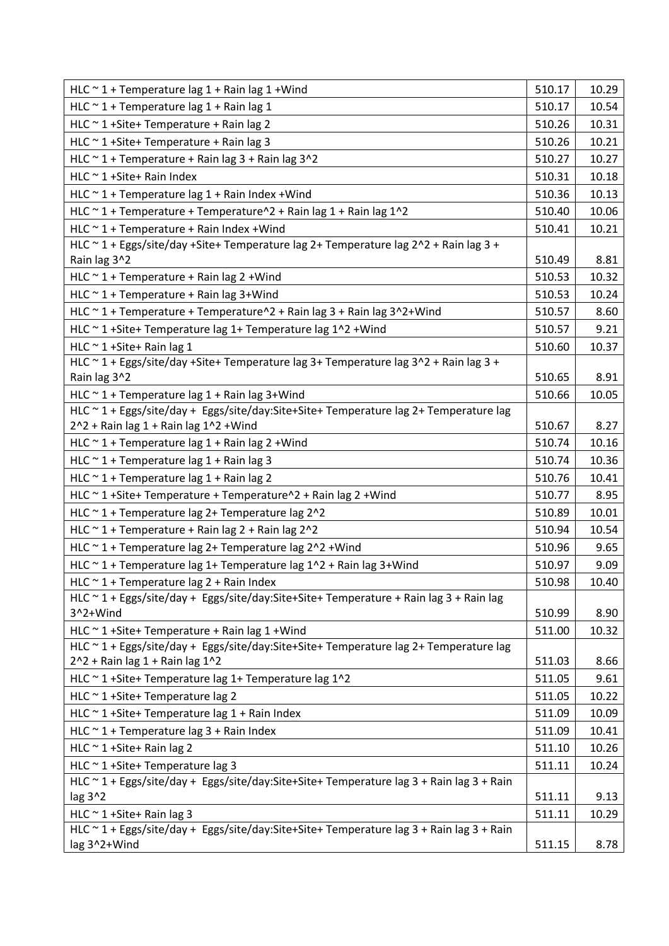| HLC $\sim$ 1 + Temperature lag 1 + Rain lag 1 + Wind                                                                       | 510.17 | 10.29 |
|----------------------------------------------------------------------------------------------------------------------------|--------|-------|
| HLC $\sim$ 1 + Temperature lag 1 + Rain lag 1                                                                              | 510.17 | 10.54 |
| HLC $\sim$ 1+Site+ Temperature + Rain lag 2                                                                                | 510.26 | 10.31 |
| HLC $\sim$ 1+Site+ Temperature + Rain lag 3                                                                                | 510.26 | 10.21 |
| HLC $\sim$ 1 + Temperature + Rain lag 3 + Rain lag 3^2                                                                     | 510.27 | 10.27 |
| HLC ~ 1 + Site + Rain Index                                                                                                | 510.31 | 10.18 |
| HLC $\sim$ 1 + Temperature lag 1 + Rain Index + Wind                                                                       | 510.36 | 10.13 |
| HLC $\sim$ 1 + Temperature + Temperature $\sim$ 2 + Rain lag 1 + Rain lag 1 $\sim$ 2                                       | 510.40 | 10.06 |
| HLC $\sim$ 1 + Temperature + Rain Index + Wind                                                                             | 510.41 | 10.21 |
| HLC ~ 1 + Eggs/site/day +Site+ Temperature lag 2+ Temperature lag 2^2 + Rain lag 3 +                                       |        |       |
| Rain lag 3^2                                                                                                               | 510.49 | 8.81  |
| HLC $\sim$ 1 + Temperature + Rain lag 2 + Wind                                                                             | 510.53 | 10.32 |
| HLC $\sim$ 1 + Temperature + Rain lag 3+Wind                                                                               | 510.53 | 10.24 |
| HLC ~ 1 + Temperature + Temperature^2 + Rain lag 3 + Rain lag 3^2+Wind                                                     | 510.57 | 8.60  |
| HLC ~ 1 + Site + Temperature lag 1 + Temperature lag 1^2 + Wind                                                            | 510.57 | 9.21  |
| HLC ~ 1 + Site + Rain lag 1                                                                                                | 510.60 | 10.37 |
| HLC ~ 1 + Eggs/site/day +Site+ Temperature lag 3+ Temperature lag 3^2 + Rain lag 3 +                                       |        |       |
| Rain lag 3^2                                                                                                               | 510.65 | 8.91  |
| HLC $\sim$ 1 + Temperature lag 1 + Rain lag 3+Wind                                                                         | 510.66 | 10.05 |
| HLC ~ 1 + Eggs/site/day + Eggs/site/day:Site+Site+ Temperature lag 2+ Temperature lag                                      |        |       |
| 2^2 + Rain lag 1 + Rain lag 1^2 + Wind                                                                                     | 510.67 | 8.27  |
| HLC ~ 1 + Temperature lag 1 + Rain lag 2 + Wind                                                                            | 510.74 | 10.16 |
| HLC ~ 1 + Temperature lag 1 + Rain lag 3                                                                                   | 510.74 | 10.36 |
| HLC ~ 1 + Temperature lag 1 + Rain lag 2                                                                                   | 510.76 | 10.41 |
| HLC ~ 1 + Site + Temperature + Temperature ^2 + Rain lag 2 + Wind                                                          | 510.77 | 8.95  |
| HLC $\sim$ 1 + Temperature lag 2+ Temperature lag 2^2                                                                      | 510.89 | 10.01 |
| HLC ~ 1 + Temperature + Rain lag 2 + Rain lag 2^2                                                                          | 510.94 | 10.54 |
| HLC ~ 1 + Temperature lag 2+ Temperature lag 2^2 + Wind                                                                    | 510.96 | 9.65  |
| HLC $\sim$ 1 + Temperature lag 1+ Temperature lag 1^2 + Rain lag 3+Wind                                                    | 510.97 | 9.09  |
| HLC $\sim$ 1 + Temperature lag 2 + Rain Index                                                                              | 510.98 | 10.40 |
| HLC ~ 1 + Eggs/site/day + Eggs/site/day:Site+Site+ Temperature + Rain lag 3 + Rain lag                                     |        |       |
| 3^2+Wind                                                                                                                   | 510.99 | 8.90  |
| HLC $\sim$ 1+Site+ Temperature + Rain lag 1 + Wind                                                                         | 511.00 | 10.32 |
| HLC ~ 1 + Eggs/site/day + Eggs/site/day:Site+Site+ Temperature lag 2+ Temperature lag<br>$2^2 +$ Rain lag 1 + Rain lag 1^2 | 511.03 | 8.66  |
| HLC ~ 1 + Site + Temperature lag 1 + Temperature lag 1^2                                                                   | 511.05 | 9.61  |
| HLC ~ 1 + Site + Temperature lag 2                                                                                         | 511.05 | 10.22 |
| HLC ~ 1 + Site + Temperature lag 1 + Rain Index                                                                            | 511.09 | 10.09 |
| HLC $\sim$ 1 + Temperature lag 3 + Rain Index                                                                              | 511.09 | 10.41 |
| HLC $\sim$ 1 +Site+ Rain lag 2                                                                                             | 511.10 | 10.26 |
| HLC ~ 1 + Site + Temperature lag 3                                                                                         | 511.11 | 10.24 |
| HLC ~ 1 + Eggs/site/day + Eggs/site/day:Site+Site+ Temperature lag 3 + Rain lag 3 + Rain                                   |        |       |
| lag 3^2                                                                                                                    | 511.11 | 9.13  |
| HLC $\sim$ 1 +Site+ Rain lag 3                                                                                             | 511.11 | 10.29 |
| HLC ~ 1 + Eggs/site/day + Eggs/site/day:Site+Site+ Temperature lag 3 + Rain lag 3 + Rain                                   |        |       |
| lag 3^2+Wind                                                                                                               | 511.15 | 8.78  |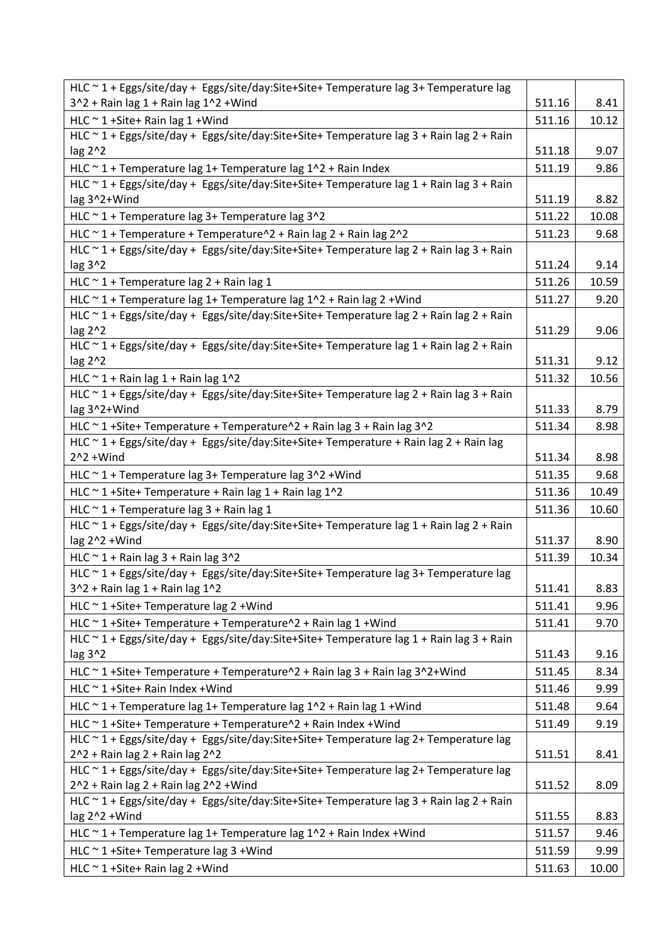| HLC ~ 1 + Eggs/site/day + Eggs/site/day:Site+Site+ Temperature lag 3+ Temperature lag                     |        |       |
|-----------------------------------------------------------------------------------------------------------|--------|-------|
| $3^2 +$ Rain lag 1 + Rain lag $1^2$ + Wind                                                                | 511.16 | 8.41  |
| HLC ~ 1 + Site + Rain lag 1 + Wind                                                                        | 511.16 | 10.12 |
| HLC ~ 1 + Eggs/site/day + Eggs/site/day:Site+Site+ Temperature lag 3 + Rain lag 2 + Rain                  |        |       |
| lag 2^2                                                                                                   | 511.18 | 9.07  |
| HLC $\sim$ 1 + Temperature lag 1+ Temperature lag 1^2 + Rain Index                                        | 511.19 | 9.86  |
| HLC ~ 1 + Eggs/site/day + Eggs/site/day:Site+Site+ Temperature lag 1 + Rain lag 3 + Rain                  |        |       |
| lag 3^2+Wind                                                                                              | 511.19 | 8.82  |
| HLC ~ 1 + Temperature lag 3+ Temperature lag 3^2                                                          | 511.22 | 10.08 |
| HLC ~ 1 + Temperature + Temperature^2 + Rain lag 2 + Rain lag 2^2                                         | 511.23 | 9.68  |
| HLC ~ 1 + Eggs/site/day + Eggs/site/day:Site+Site+ Temperature lag 2 + Rain lag 3 + Rain                  |        |       |
| lag 3^2                                                                                                   | 511.24 | 9.14  |
| HLC $\sim$ 1 + Temperature lag 2 + Rain lag 1                                                             | 511.26 | 10.59 |
| HLC $\sim$ 1 + Temperature lag 1+ Temperature lag 1^2 + Rain lag 2 + Wind                                 | 511.27 | 9.20  |
| HLC ~ 1 + Eggs/site/day + Eggs/site/day:Site+Site+ Temperature lag 2 + Rain lag 2 + Rain                  | 511.29 |       |
| lag 2^2<br>HLC ~ 1 + Eggs/site/day + Eggs/site/day:Site+Site+ Temperature lag 1 + Rain lag 2 + Rain       |        | 9.06  |
| lag 2^2                                                                                                   | 511.31 | 9.12  |
| HLC $\sim$ 1 + Rain lag 1 + Rain lag 1^2                                                                  | 511.32 | 10.56 |
| HLC ~ 1 + Eggs/site/day + Eggs/site/day:Site+Site+ Temperature lag 2 + Rain lag 3 + Rain                  |        |       |
| lag 3^2+Wind                                                                                              | 511.33 | 8.79  |
| HLC ~ 1 + Site + Temperature + Temperature ^ 2 + Rain lag 3 + Rain lag 3 ^ 2                              | 511.34 | 8.98  |
| HLC ~ 1 + Eggs/site/day + Eggs/site/day:Site+Site+ Temperature + Rain lag 2 + Rain lag                    |        |       |
| $2^2 + Wind$                                                                                              | 511.34 | 8.98  |
| HLC ~ 1 + Temperature lag 3+ Temperature lag 3^2 + Wind                                                   | 511.35 | 9.68  |
| HLC ~ 1 + Site + Temperature + Rain lag 1 + Rain lag 1^2                                                  | 511.36 | 10.49 |
| HLC $\sim$ 1 + Temperature lag 3 + Rain lag 1                                                             | 511.36 | 10.60 |
| HLC ~ 1 + Eggs/site/day + Eggs/site/day:Site+Site+ Temperature lag 1 + Rain lag 2 + Rain                  |        |       |
| lag 2^2 +Wind                                                                                             | 511.37 | 8.90  |
| HLC $\sim$ 1 + Rain lag 3 + Rain lag 3^2                                                                  | 511.39 | 10.34 |
| HLC ~ 1 + Eggs/site/day + Eggs/site/day:Site+Site+ Temperature lag 3+ Temperature lag                     |        |       |
| 3^2 + Rain lag 1 + Rain lag 1^2                                                                           | 511.41 | 8.83  |
| HLC ~ 1 + Site + Temperature lag 2 + Wind                                                                 | 511.41 | 9.96  |
| HLC ~ 1 + Site + Temperature + Temperature ^ 2 + Rain lag 1 + Wind                                        | 511.41 | 9.70  |
| HLC ~ 1 + Eggs/site/day + Eggs/site/day:Site+Site+ Temperature lag 1 + Rain lag 3 + Rain                  |        |       |
| lag $3^2$                                                                                                 | 511.43 | 9.16  |
| HLC ~ 1 + Site + Temperature + Temperature ^ 2 + Rain lag 3 + Rain lag 3 ^ 2 + Wind                       | 511.45 | 8.34  |
| HLC ~ 1 + Site + Rain Index + Wind                                                                        | 511.46 | 9.99  |
| HLC ~ 1 + Temperature lag 1+ Temperature lag 1^2 + Rain lag 1 + Wind                                      | 511.48 | 9.64  |
| HLC ~ 1 + Site + Temperature + Temperature ^ 2 + Rain Index + Wind                                        | 511.49 | 9.19  |
| HLC ~ 1 + Eggs/site/day + Eggs/site/day:Site+Site+ Temperature lag 2+ Temperature lag                     |        |       |
| 2^2 + Rain lag 2 + Rain lag 2^2                                                                           | 511.51 | 8.41  |
| HLC ~ 1 + Eggs/site/day + Eggs/site/day:Site+Site+ Temperature lag 2+ Temperature lag                     |        |       |
| 2^2 + Rain lag 2 + Rain lag 2^2 + Wind                                                                    | 511.52 | 8.09  |
| HLC ~ 1 + Eggs/site/day + Eggs/site/day:Site+Site+ Temperature lag 3 + Rain lag 2 + Rain<br>lag 2^2 +Wind | 511.55 | 8.83  |
| HLC ~ 1 + Temperature lag 1+ Temperature lag 1^2 + Rain Index + Wind                                      | 511.57 | 9.46  |
|                                                                                                           |        |       |
| HLC $\sim$ 1+Site+ Temperature lag 3 + Wind                                                               | 511.59 | 9.99  |
| HLC $\sim$ 1 + Site + Rain lag 2 + Wind                                                                   | 511.63 | 10.00 |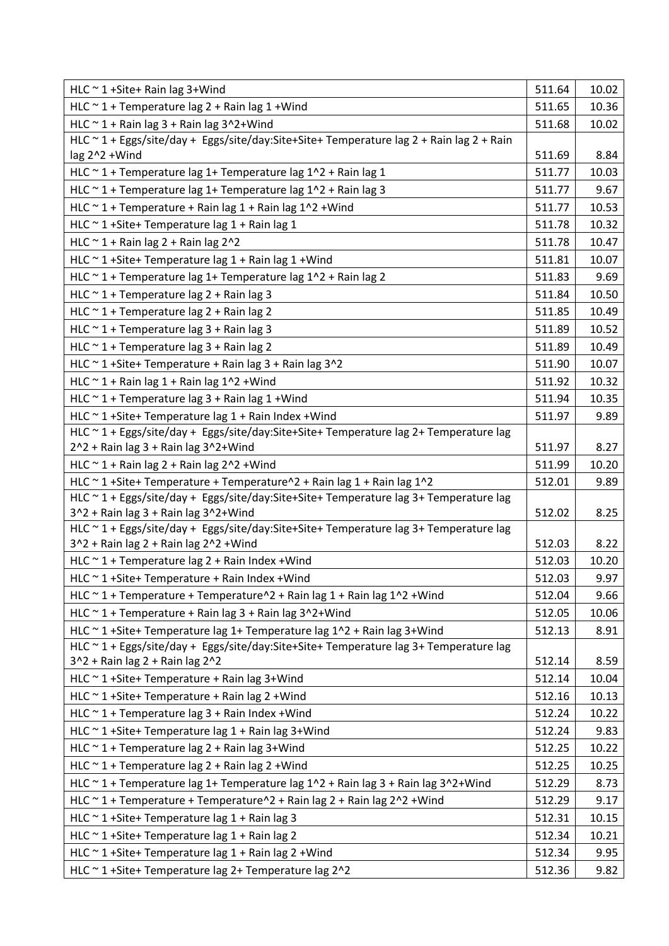| HLC $\sim$ 1 +Site+ Rain lag 3+Wind                                                                                                                              | 511.64 | 10.02          |
|------------------------------------------------------------------------------------------------------------------------------------------------------------------|--------|----------------|
| HLC $\sim$ 1 + Temperature lag 2 + Rain lag 1 + Wind                                                                                                             | 511.65 | 10.36          |
| HLC $\sim$ 1 + Rain lag 3 + Rain lag 3^2+Wind                                                                                                                    | 511.68 | 10.02          |
| HLC ~ 1 + Eggs/site/day + Eggs/site/day:Site+Site+ Temperature lag 2 + Rain lag 2 + Rain                                                                         |        |                |
| lag 2^2 +Wind                                                                                                                                                    | 511.69 | 8.84           |
| HLC $\sim$ 1 + Temperature lag 1+ Temperature lag 1 $\sim$ 2 + Rain lag 1                                                                                        | 511.77 | 10.03          |
| HLC $\sim$ 1 + Temperature lag 1+ Temperature lag 1^2 + Rain lag 3                                                                                               | 511.77 | 9.67           |
| HLC $\sim$ 1 + Temperature + Rain lag 1 + Rain lag 1^2 + Wind                                                                                                    | 511.77 | 10.53          |
| HLC $\sim$ 1+Site+ Temperature lag 1 + Rain lag 1                                                                                                                | 511.78 | 10.32          |
| HLC $\sim$ 1 + Rain lag 2 + Rain lag 2^2                                                                                                                         | 511.78 | 10.47          |
| HLC ~ 1 + Site + Temperature lag 1 + Rain lag 1 + Wind                                                                                                           | 511.81 | 10.07          |
| HLC ~ 1 + Temperature lag 1+ Temperature lag 1^2 + Rain lag 2                                                                                                    | 511.83 | 9.69           |
| HLC $\sim$ 1 + Temperature lag 2 + Rain lag 3                                                                                                                    | 511.84 | 10.50          |
| HLC $\sim$ 1 + Temperature lag 2 + Rain lag 2                                                                                                                    | 511.85 | 10.49          |
| HLC $\sim$ 1 + Temperature lag 3 + Rain lag 3                                                                                                                    | 511.89 | 10.52          |
| HLC $\sim$ 1 + Temperature lag 3 + Rain lag 2                                                                                                                    | 511.89 | 10.49          |
| HLC ~ 1 + Site + Temperature + Rain lag 3 + Rain lag 3^2                                                                                                         | 511.90 | 10.07          |
| HLC $\sim$ 1 + Rain lag 1 + Rain lag 1^2 + Wind                                                                                                                  | 511.92 | 10.32          |
| HLC $\sim$ 1 + Temperature lag 3 + Rain lag 1 + Wind                                                                                                             | 511.94 | 10.35          |
| HLC $\sim$ 1+Site+ Temperature lag 1 + Rain Index + Wind                                                                                                         | 511.97 | 9.89           |
| HLC ~ 1 + Eggs/site/day + Eggs/site/day:Site+Site+ Temperature lag 2+ Temperature lag                                                                            |        |                |
| 2^2 + Rain lag 3 + Rain lag 3^2+Wind                                                                                                                             | 511.97 | 8.27           |
| HLC $\sim$ 1 + Rain lag 2 + Rain lag 2^2 + Wind                                                                                                                  | 511.99 | 10.20          |
| HLC ~ 1 + Site + Temperature + Temperature ^2 + Rain lag 1 + Rain lag 1 ^2                                                                                       | 512.01 | 9.89           |
| HLC ~ 1 + Eggs/site/day + Eggs/site/day:Site+Site+ Temperature lag 3+ Temperature lag                                                                            |        |                |
| 3^2 + Rain lag 3 + Rain lag 3^2+Wind                                                                                                                             | 512.02 | 8.25           |
| HLC ~ 1 + Eggs/site/day + Eggs/site/day:Site+Site+ Temperature lag 3+ Temperature lag                                                                            |        |                |
| 3^2 + Rain lag 2 + Rain lag 2^2 + Wind                                                                                                                           | 512.03 | 8.22           |
| HLC $\sim$ 1 + Temperature lag 2 + Rain Index + Wind                                                                                                             | 512.03 | 10.20          |
| HLC ~ 1 + Site + Temperature + Rain Index + Wind                                                                                                                 | 512.03 | 9.97           |
| HLC ~ 1 + Temperature + Temperature^2 + Rain lag 1 + Rain lag 1^2 + Wind                                                                                         | 512.04 | 9.66           |
| HLC $\sim$ 1 + Temperature + Rain lag 3 + Rain lag 3 $\sim$ 2+Wind                                                                                               | 512.05 | 10.06          |
| HLC ~ 1 +Site+ Temperature lag 1+ Temperature lag 1^2 + Rain lag 3+Wind<br>HLC ~ 1 + Eggs/site/day + Eggs/site/day:Site+Site+ Temperature lag 3+ Temperature lag | 512.13 | 8.91           |
| 3^2 + Rain lag 2 + Rain lag 2^2                                                                                                                                  | 512.14 | 8.59           |
| HLC ~ 1 + Site + Temperature + Rain lag 3 + Wind                                                                                                                 | 512.14 | 10.04          |
| HLC $\sim$ 1+Site+ Temperature + Rain lag 2 + Wind                                                                                                               | 512.16 | 10.13          |
| HLC $\sim$ 1 + Temperature lag 3 + Rain Index + Wind                                                                                                             | 512.24 | 10.22          |
| HLC ~ 1 + Site + Temperature lag 1 + Rain lag 3 + Wind                                                                                                           | 512.24 | 9.83           |
| HLC $\sim$ 1 + Temperature lag 2 + Rain lag 3+Wind                                                                                                               | 512.25 | 10.22          |
| HLC $\sim$ 1 + Temperature lag 2 + Rain lag 2 + Wind                                                                                                             | 512.25 | 10.25          |
| HLC ~ 1 + Temperature lag 1+ Temperature lag 1^2 + Rain lag 3 + Rain lag 3^2+Wind                                                                                | 512.29 | 8.73           |
| HLC ~ 1 + Temperature + Temperature^2 + Rain lag 2 + Rain lag 2^2 + Wind                                                                                         | 512.29 | 9.17           |
|                                                                                                                                                                  | 512.31 |                |
| HLC $\sim$ 1+Site+ Temperature lag 1 + Rain lag 3                                                                                                                | 512.34 | 10.15<br>10.21 |
| HLC $\sim$ 1+Site+ Temperature lag 1 + Rain lag 2                                                                                                                | 512.34 | 9.95           |
| HLC ~ 1 + Site + Temperature lag 1 + Rain lag 2 + Wind                                                                                                           |        |                |
| HLC ~ 1 + Site + Temperature lag 2 + Temperature lag 2^2                                                                                                         | 512.36 | 9.82           |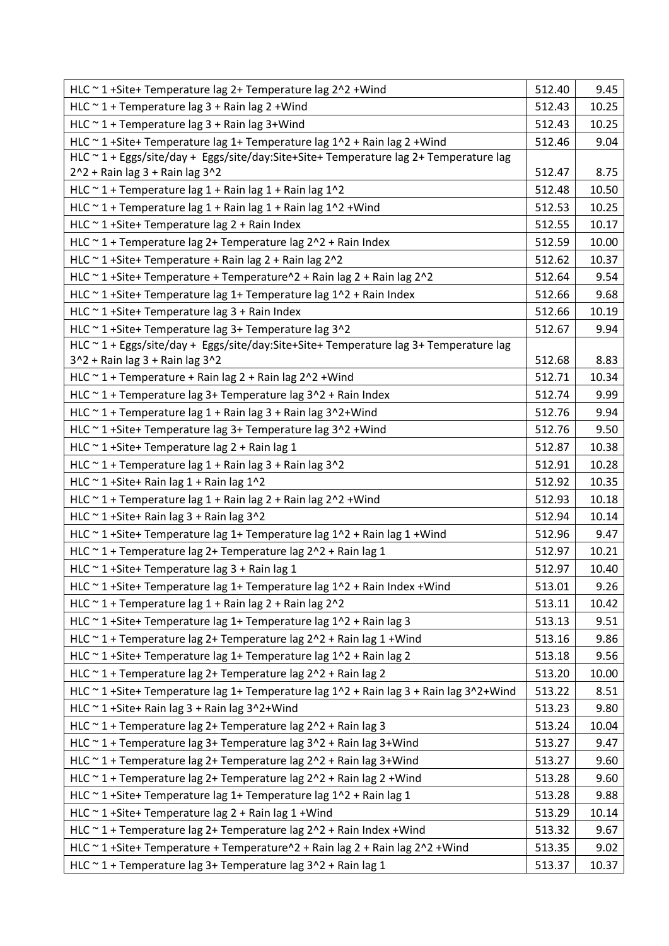| HLC ~ 1 + Site + Temperature lag 2 + Temperature lag 2^2 + Wind                         | 512.40 | 9.45  |
|-----------------------------------------------------------------------------------------|--------|-------|
| HLC $\sim$ 1 + Temperature lag 3 + Rain lag 2 + Wind                                    | 512.43 | 10.25 |
| HLC $\sim$ 1 + Temperature lag 3 + Rain lag 3+Wind                                      | 512.43 | 10.25 |
| HLC ~ 1 + Site + Temperature lag 1 + Temperature lag 1^2 + Rain lag 2 + Wind            | 512.46 | 9.04  |
| HLC ~ 1 + Eggs/site/day + Eggs/site/day:Site+Site+ Temperature lag 2+ Temperature lag   |        |       |
| $2^2 +$ Rain lag 3 + Rain lag $3^2$                                                     | 512.47 | 8.75  |
| HLC $\sim$ 1 + Temperature lag 1 + Rain lag 1 + Rain lag 1^2                            | 512.48 | 10.50 |
| HLC $\sim$ 1 + Temperature lag 1 + Rain lag 1 + Rain lag 1^2 + Wind                     | 512.53 | 10.25 |
| HLC $\sim$ 1+Site+ Temperature lag 2 + Rain Index                                       | 512.55 | 10.17 |
| HLC $\sim$ 1 + Temperature lag 2+ Temperature lag 2 $\sim$ 2 + Rain Index               | 512.59 | 10.00 |
| HLC ~ 1 + Site + Temperature + Rain lag 2 + Rain lag 2^2                                | 512.62 | 10.37 |
| HLC ~ 1 + Site + Temperature + Temperature ^ 2 + Rain lag 2 + Rain lag 2 ^ 2            | 512.64 | 9.54  |
| HLC ~ 1 + Site + Temperature lag 1 + Temperature lag 1^2 + Rain Index                   | 512.66 | 9.68  |
| HLC $\sim$ 1+Site+ Temperature lag 3 + Rain Index                                       | 512.66 | 10.19 |
| HLC ~ 1 + Site + Temperature lag 3+ Temperature lag 3^2                                 | 512.67 | 9.94  |
| HLC ~ 1 + Eggs/site/day + Eggs/site/day:Site+Site+ Temperature lag 3+ Temperature lag   |        |       |
| 3^2 + Rain lag 3 + Rain lag 3^2                                                         | 512.68 | 8.83  |
| HLC $\sim$ 1 + Temperature + Rain lag 2 + Rain lag 2 $\sim$ 2 + Wind                    | 512.71 | 10.34 |
| HLC $\sim$ 1 + Temperature lag 3+ Temperature lag 3 $\sim$ 2 + Rain Index               | 512.74 | 9.99  |
| HLC $\sim$ 1 + Temperature lag 1 + Rain lag 3 + Rain lag 3^2+Wind                       | 512.76 | 9.94  |
| HLC ~ 1 + Site + Temperature lag 3+ Temperature lag 3^2 + Wind                          | 512.76 | 9.50  |
| HLC ~ 1 + Site + Temperature lag 2 + Rain lag 1                                         | 512.87 | 10.38 |
| HLC $\sim$ 1 + Temperature lag 1 + Rain lag 3 + Rain lag 3^2                            | 512.91 | 10.28 |
| HLC ~ 1 + Site + Rain lag 1 + Rain lag 1^2                                              | 512.92 | 10.35 |
| HLC ~ 1 + Temperature lag 1 + Rain lag 2 + Rain lag 2^2 + Wind                          | 512.93 | 10.18 |
| HLC ~ 1 + Site + Rain lag 3 + Rain lag 3^2                                              | 512.94 | 10.14 |
| HLC ~ 1 + Site + Temperature lag 1 + Temperature lag 1^2 + Rain lag 1 + Wind            | 512.96 | 9.47  |
| HLC ~ 1 + Temperature lag 2+ Temperature lag 2^2 + Rain lag 1                           | 512.97 | 10.21 |
| HLC $\sim$ 1+Site+ Temperature lag 3 + Rain lag 1                                       | 512.97 | 10.40 |
| HLC ~ 1 + Site + Temperature lag 1 + Temperature lag 1^2 + Rain Index + Wind            | 513.01 | 9.26  |
| HLC $\sim$ 1 + Temperature lag 1 + Rain lag 2 + Rain lag 2 $\sim$ 2                     | 513.11 | 10.42 |
| HLC ~ 1 + Site + Temperature lag 1 + Temperature lag 1^2 + Rain lag 3                   | 513.13 | 9.51  |
| HLC ~ 1 + Temperature lag 2+ Temperature lag 2^2 + Rain lag 1 + Wind                    | 513.16 | 9.86  |
| HLC ~ 1 + Site + Temperature lag 1 + Temperature lag 1^2 + Rain lag 2                   | 513.18 | 9.56  |
| HLC ~ 1 + Temperature lag 2+ Temperature lag 2^2 + Rain lag 2                           | 513.20 | 10.00 |
| HLC ~ 1 + Site+ Temperature lag 1+ Temperature lag 1^2 + Rain lag 3 + Rain lag 3^2+Wind | 513.22 | 8.51  |
| HLC $\sim$ 1 + Site + Rain lag 3 + Rain lag 3^2+ Wind                                   | 513.23 | 9.80  |
| HLC ~ 1 + Temperature lag 2+ Temperature lag 2^2 + Rain lag 3                           | 513.24 | 10.04 |
| HLC ~ 1 + Temperature lag 3+ Temperature lag 3^2 + Rain lag 3+Wind                      | 513.27 | 9.47  |
| HLC ~ 1 + Temperature lag 2+ Temperature lag 2^2 + Rain lag 3+Wind                      | 513.27 | 9.60  |
| HLC $\sim$ 1 + Temperature lag 2+ Temperature lag 2 $\sim$ 2 + Rain lag 2 + Wind        | 513.28 | 9.60  |
| HLC ~ 1 + Site + Temperature lag 1 + Temperature lag 1^2 + Rain lag 1                   | 513.28 | 9.88  |
| HLC ~ 1 + Site + Temperature lag 2 + Rain lag 1 + Wind                                  | 513.29 | 10.14 |
| HLC $\sim$ 1 + Temperature lag 2+ Temperature lag 2 $\sim$ 2 + Rain Index + Wind        | 513.32 | 9.67  |
| HLC ~ 1 + Site + Temperature + Temperature ^ 2 + Rain lag 2 + Rain lag 2 ^ 2 + Wind     | 513.35 | 9.02  |
| HLC ~ 1 + Temperature lag 3+ Temperature lag 3^2 + Rain lag 1                           | 513.37 | 10.37 |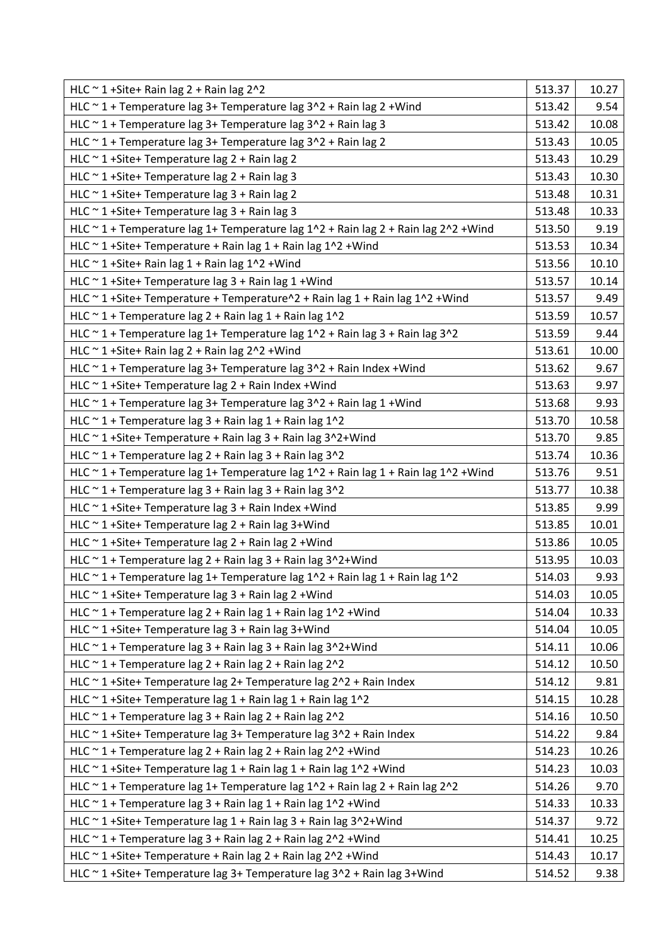| HLC $\sim$ 1+Site+ Rain lag 2 + Rain lag 2^2                                                           | 513.37 | 10.27 |
|--------------------------------------------------------------------------------------------------------|--------|-------|
| HLC ~ 1 + Temperature lag 3+ Temperature lag 3^2 + Rain lag 2 + Wind                                   | 513.42 | 9.54  |
| HLC ~ 1 + Temperature lag 3+ Temperature lag 3^2 + Rain lag 3                                          | 513.42 | 10.08 |
| HLC $\sim$ 1 + Temperature lag 3+ Temperature lag 3 $\sim$ 2 + Rain lag 2                              | 513.43 | 10.05 |
| HLC $\sim$ 1+Site+ Temperature lag 2 + Rain lag 2                                                      | 513.43 | 10.29 |
| HLC ~ 1 + Site + Temperature lag 2 + Rain lag 3                                                        | 513.43 | 10.30 |
| HLC ~ 1 + Site + Temperature lag 3 + Rain lag 2                                                        | 513.48 | 10.31 |
| HLC $\sim$ 1+Site+ Temperature lag 3 + Rain lag 3                                                      | 513.48 | 10.33 |
| HLC $\sim$ 1 + Temperature lag 1+ Temperature lag 1^2 + Rain lag 2 + Rain lag 2^2 + Wind               | 513.50 | 9.19  |
| HLC ~ 1 + Site + Temperature + Rain lag 1 + Rain lag 1^2 + Wind                                        | 513.53 | 10.34 |
| HLC $\sim$ 1+Site+ Rain lag 1 + Rain lag 1^2 + Wind                                                    | 513.56 | 10.10 |
| HLC $\sim$ 1+Site+ Temperature lag 3 + Rain lag 1 + Wind                                               | 513.57 | 10.14 |
| HLC ~ 1 + Site + Temperature + Temperature ^2 + Rain lag 1 + Rain lag 1 ^2 + Wind                      | 513.57 | 9.49  |
| HLC $\sim$ 1 + Temperature lag 2 + Rain lag 1 + Rain lag 1^2                                           | 513.59 | 10.57 |
| HLC $\sim$ 1 + Temperature lag 1+ Temperature lag 1^2 + Rain lag 3 + Rain lag 3^2                      | 513.59 | 9.44  |
| HLC $\sim$ 1+Site+ Rain lag 2 + Rain lag 2^2 + Wind                                                    | 513.61 | 10.00 |
| HLC ~ 1 + Temperature lag 3+ Temperature lag 3^2 + Rain Index + Wind                                   | 513.62 | 9.67  |
| HLC $\sim$ 1+Site+ Temperature lag 2 + Rain Index + Wind                                               | 513.63 | 9.97  |
| HLC ~ 1 + Temperature lag 3+ Temperature lag 3^2 + Rain lag 1 + Wind                                   | 513.68 | 9.93  |
| HLC $\sim$ 1 + Temperature lag 3 + Rain lag 1 + Rain lag 1^2                                           | 513.70 | 10.58 |
| HLC ~ 1 + Site + Temperature + Rain lag 3 + Rain lag 3^2 + Wind                                        | 513.70 | 9.85  |
| HLC $\sim$ 1 + Temperature lag 2 + Rain lag 3 + Rain lag 3^2                                           | 513.74 | 10.36 |
| HLC $\sim$ 1 + Temperature lag 1+ Temperature lag 1 $\sim$ 2 + Rain lag 1 + Rain lag 1 $\sim$ 2 + Wind | 513.76 | 9.51  |
| HLC $\sim$ 1 + Temperature lag 3 + Rain lag 3 + Rain lag 3 $\sim$ 2                                    | 513.77 | 10.38 |
| HLC $\sim$ 1+Site+ Temperature lag 3 + Rain Index + Wind                                               | 513.85 | 9.99  |
| HLC $\sim$ 1+Site+ Temperature lag 2 + Rain lag 3+Wind                                                 | 513.85 | 10.01 |
| HLC $\sim$ 1+Site+ Temperature lag 2 + Rain lag 2 + Wind                                               | 513.86 | 10.05 |
| HLC $\sim$ 1 + Temperature lag 2 + Rain lag 3 + Rain lag 3 $\sim$ 2+Wind                               | 513.95 | 10.03 |
| HLC ~ 1 + Temperature lag 1+ Temperature lag 1^2 + Rain lag 1 + Rain lag 1^2                           | 514.03 | 9.93  |
| HLC $\sim$ 1+Site+ Temperature lag 3 + Rain lag 2 + Wind                                               | 514.03 | 10.05 |
| HLC ~ 1 + Temperature lag 2 + Rain lag 1 + Rain lag 1^2 + Wind                                         | 514.04 | 10.33 |
| HLC ~ 1 + Site + Temperature lag 3 + Rain lag 3 + Wind                                                 | 514.04 | 10.05 |
| HLC ~ 1 + Temperature lag 3 + Rain lag 3 + Rain lag 3^2+Wind                                           | 514.11 | 10.06 |
| HLC $\sim$ 1 + Temperature lag 2 + Rain lag 2 + Rain lag 2 $\sim$ 2                                    | 514.12 | 10.50 |
| HLC ~ 1 + Site + Temperature lag 2 + Temperature lag 2^2 + Rain Index                                  | 514.12 | 9.81  |
| HLC ~ 1 + Site + Temperature lag 1 + Rain lag 1 + Rain lag 1^2                                         | 514.15 | 10.28 |
| HLC $\sim$ 1 + Temperature lag 3 + Rain lag 2 + Rain lag 2 $\sim$ 2                                    | 514.16 | 10.50 |
| HLC ~ 1 + Site + Temperature lag 3+ Temperature lag 3^2 + Rain Index                                   | 514.22 | 9.84  |
| HLC $\sim$ 1 + Temperature lag 2 + Rain lag 2 + Rain lag 2 $\sim$ 2 + Wind                             | 514.23 | 10.26 |
| HLC $\sim$ 1+Site+ Temperature lag 1 + Rain lag 1 + Rain lag 1^2 + Wind                                | 514.23 | 10.03 |
| HLC ~ 1 + Temperature lag 1+ Temperature lag 1^2 + Rain lag 2 + Rain lag 2^2                           | 514.26 | 9.70  |
| HLC $\sim$ 1 + Temperature lag 3 + Rain lag 1 + Rain lag 1 $\sim$ 2 + Wind                             | 514.33 | 10.33 |
| HLC ~ 1 + Site + Temperature lag 1 + Rain lag 3 + Rain lag 3 ^ 2 + Wind                                | 514.37 | 9.72  |
| HLC ~ 1 + Temperature lag 3 + Rain lag 2 + Rain lag 2^2 + Wind                                         | 514.41 | 10.25 |
| HLC ~ 1 + Site + Temperature + Rain lag 2 + Rain lag 2 ^ 2 + Wind                                      | 514.43 | 10.17 |
| HLC ~ 1 + Site + Temperature lag 3 + Temperature lag 3^2 + Rain lag 3 + Wind                           | 514.52 | 9.38  |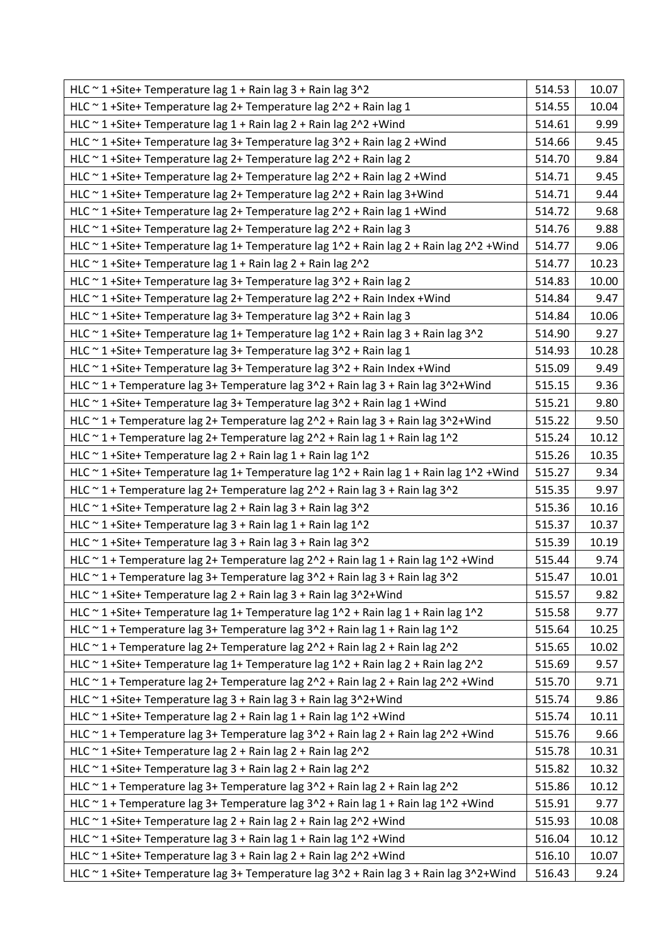| HLC $\sim$ 1+Site+ Temperature lag 1 + Rain lag 3 + Rain lag 3 $\sim$ 2                                  | 514.53 | 10.07 |
|----------------------------------------------------------------------------------------------------------|--------|-------|
| HLC ~ 1 + Site + Temperature lag 2 + Temperature lag 2 ^ 2 + Rain lag 1                                  | 514.55 | 10.04 |
| HLC $\sim$ 1+Site+ Temperature lag 1 + Rain lag 2 + Rain lag 2 $\sim$ 2 + Wind                           | 514.61 | 9.99  |
| HLC ~ 1 + Site + Temperature lag 3 + Temperature lag 3 ^ 2 + Rain lag 2 + Wind                           | 514.66 | 9.45  |
| HLC ~ 1 + Site + Temperature lag 2 + Temperature lag 2^2 + Rain lag 2                                    | 514.70 | 9.84  |
| HLC ~ 1 + Site + Temperature lag 2 + Temperature lag 2 ^ 2 + Rain lag 2 + Wind                           | 514.71 | 9.45  |
| HLC ~ 1 + Site + Temperature lag 2 + Temperature lag 2^2 + Rain lag 3 + Wind                             | 514.71 | 9.44  |
| HLC ~ 1 + Site + Temperature lag 2 + Temperature lag 2 ^ 2 + Rain lag 1 + Wind                           | 514.72 | 9.68  |
| HLC $\sim$ 1+Site+ Temperature lag 2+ Temperature lag 2 $\sim$ 2 + Rain lag 3                            | 514.76 | 9.88  |
| HLC ~ 1 + Site+ Temperature lag 1+ Temperature lag 1^2 + Rain lag 2 + Rain lag 2^2 + Wind                | 514.77 | 9.06  |
| HLC $\sim$ 1+Site+ Temperature lag 1 + Rain lag 2 + Rain lag 2 $\sim$ 2                                  | 514.77 | 10.23 |
| HLC ~ 1 + Site + Temperature lag 3 + Temperature lag 3 ^ 2 + Rain lag 2                                  | 514.83 | 10.00 |
| HLC $\sim$ 1+Site+ Temperature lag 2+ Temperature lag 2 $\sim$ 2 + Rain Index + Wind                     | 514.84 | 9.47  |
| HLC $\sim$ 1+Site+ Temperature lag 3+ Temperature lag 3 $\sim$ 2 + Rain lag 3                            | 514.84 | 10.06 |
| HLC $\sim$ 1 +Site+ Temperature lag 1+ Temperature lag 1^2 + Rain lag 3 + Rain lag 3^2                   | 514.90 | 9.27  |
| HLC ~ 1 + Site + Temperature lag 3 + Temperature lag 3 ^ 2 + Rain lag 1                                  | 514.93 | 10.28 |
| HLC ~ 1 + Site + Temperature lag 3 + Temperature lag 3^2 + Rain Index + Wind                             | 515.09 | 9.49  |
| HLC $\sim$ 1 + Temperature lag 3+ Temperature lag 3 $\sim$ 2 + Rain lag 3 + Rain lag 3 $\sim$ 2+ Wind    | 515.15 | 9.36  |
| HLC ~ 1 + Site + Temperature lag 3 + Temperature lag 3^2 + Rain lag 1 + Wind                             | 515.21 | 9.80  |
| HLC ~ 1 + Temperature lag 2+ Temperature lag 2^2 + Rain lag 3 + Rain lag 3^2+Wind                        | 515.22 | 9.50  |
| HLC $\sim$ 1 + Temperature lag 2+ Temperature lag 2 $\sim$ 2 + Rain lag 1 + Rain lag 1 $\sim$ 2          | 515.24 | 10.12 |
| HLC ~ 1 + Site + Temperature lag 2 + Rain lag 1 + Rain lag 1 ^ 2                                         | 515.26 | 10.35 |
| HLC ~ 1 + Site + Temperature lag 1 + Temperature lag 1 ^ 2 + Rain lag 1 + Rain lag 1 ^ 2 + Wind          | 515.27 | 9.34  |
| HLC $\sim$ 1 + Temperature lag 2+ Temperature lag 2 $\sim$ 2 + Rain lag 3 + Rain lag 3 $\sim$ 2          | 515.35 | 9.97  |
| HLC $\sim$ 1+Site+ Temperature lag 2 + Rain lag 3 + Rain lag 3 $\sim$ 2                                  | 515.36 | 10.16 |
| HLC ~ 1 + Site + Temperature lag 3 + Rain lag 1 + Rain lag 1^2                                           | 515.37 | 10.37 |
| HLC ~ 1 + Site + Temperature lag 3 + Rain lag 3 + Rain lag 3 ^ 2                                         | 515.39 | 10.19 |
| HLC $\sim$ 1 + Temperature lag 2+ Temperature lag $2 \cdot 2$ + Rain lag 1 + Rain lag 1 $\cdot$ 2 + Wind | 515.44 | 9.74  |
| HLC ~ 1 + Temperature lag 3+ Temperature lag 3^2 + Rain lag 3 + Rain lag 3^2                             | 515.47 | 10.01 |
| HLC $\sim$ 1+Site+ Temperature lag 2 + Rain lag 3 + Rain lag 3^2+Wind                                    | 515.57 | 9.82  |
| HLC ~ 1 + Site+ Temperature lag 1+ Temperature lag 1^2 + Rain lag 1 + Rain lag 1^2                       | 515.58 | 9.77  |
| HLC ~ 1 + Temperature lag 3+ Temperature lag 3^2 + Rain lag 1 + Rain lag 1^2                             | 515.64 | 10.25 |
| HLC $\sim$ 1 + Temperature lag 2+ Temperature lag 2 $\sim$ 2 + Rain lag 2 + Rain lag 2 $\sim$ 2          | 515.65 | 10.02 |
| HLC ~ 1 + Site + Temperature lag 1 + Temperature lag 1^2 + Rain lag 2 + Rain lag 2^2                     | 515.69 | 9.57  |
| HLC ~ 1 + Temperature lag 2+ Temperature lag 2^2 + Rain lag 2 + Rain lag 2^2 + Wind                      | 515.70 | 9.71  |
| HLC ~ 1 + Site + Temperature lag 3 + Rain lag 3 + Rain lag 3 ^ 2 + Wind                                  | 515.74 | 9.86  |
| HLC ~ 1 + Site + Temperature lag 2 + Rain lag 1 + Rain lag 1^2 + Wind                                    | 515.74 | 10.11 |
| HLC ~ 1 + Temperature lag 3+ Temperature lag 3^2 + Rain lag 2 + Rain lag 2^2 + Wind                      | 515.76 | 9.66  |
| HLC ~ 1 + Site + Temperature lag 2 + Rain lag 2 + Rain lag 2 ^ 2                                         | 515.78 | 10.31 |
| HLC ~ 1 + Site + Temperature lag 3 + Rain lag 2 + Rain lag 2 ^ 2                                         | 515.82 | 10.32 |
| HLC ~ 1 + Temperature lag 3+ Temperature lag 3^2 + Rain lag 2 + Rain lag 2^2                             | 515.86 | 10.12 |
| HLC ~ 1 + Temperature lag 3+ Temperature lag 3^2 + Rain lag 1 + Rain lag 1^2 + Wind                      | 515.91 | 9.77  |
| HLC ~ 1 + Site + Temperature lag 2 + Rain lag 2 + Rain lag 2 ^ 2 + Wind                                  | 515.93 | 10.08 |
| HLC ~ 1 + Site + Temperature lag 3 + Rain lag 1 + Rain lag 1^2 + Wind                                    | 516.04 | 10.12 |
| HLC ~ 1 + Site + Temperature lag 3 + Rain lag 2 + Rain lag 2 ^ 2 + Wind                                  | 516.10 | 10.07 |
| HLC ~ 1 + Site + Temperature lag 3+ Temperature lag 3^2 + Rain lag 3 + Rain lag 3^2+ Wind                | 516.43 | 9.24  |